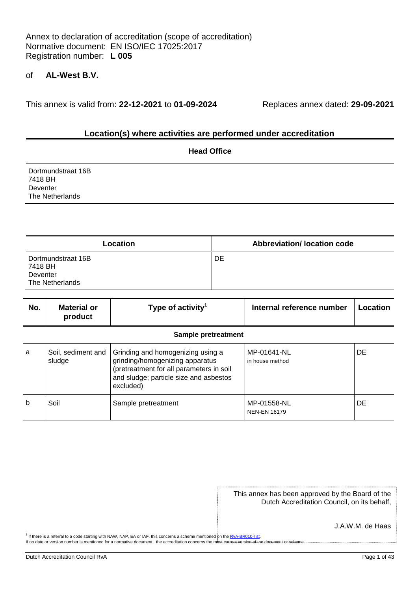# of **AL-West B.V.**

This annex is valid from: **22-12-2021** to **01-09-2024** Replaces annex dated: **29-09-2021**

# **Location(s) where activities are performed under accreditation**

|                                                              | <b>Head Office</b> |
|--------------------------------------------------------------|--------------------|
| Dortmundstraat 16B<br>7418 BH<br>Deventer<br>The Netherlands |                    |

| Location                                                     | <b>Abbreviation/Iocation code</b> |
|--------------------------------------------------------------|-----------------------------------|
| Dortmundstraat 16B<br>7418 BH<br>Deventer<br>The Netherlands | DE                                |

| No. | <b>Material or</b><br>product | Type of activity <sup>1</sup>                                                                                                                                           | Internal reference number          | Location  |  |
|-----|-------------------------------|-------------------------------------------------------------------------------------------------------------------------------------------------------------------------|------------------------------------|-----------|--|
|     | <b>Sample pretreatment</b>    |                                                                                                                                                                         |                                    |           |  |
| a   | Soil, sediment and<br>sludge  | Grinding and homogenizing using a<br>grinding/homogenizing apparatus<br>(pretreatment for all parameters in soil<br>and sludge; particle size and asbestos<br>excluded) | MP-01641-NL<br>in house method     | <b>DE</b> |  |
| b   | Soil                          | Sample pretreatment                                                                                                                                                     | MP-01558-NL<br><b>NEN-EN 16179</b> | DE.       |  |

| This annex has been approved by the Board of the |
|--------------------------------------------------|
| Dutch Accreditation Council, on its behalf,      |

J.A.W.M. de Haas

<sup>1&</sup>lt;br>If there is a referral to a code starting with NAW, NAP, EA or IAF, this concerns a scheme mentioned on the RvA-BR010-lijst.

If no date or version number is mentioned for a normative document, the accreditation concerns the most current version of the document or scheme.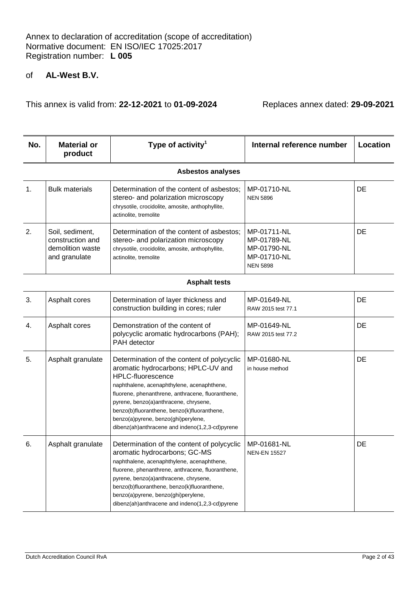| No. | <b>Material or</b><br>product                                            | Type of activity <sup>1</sup>                                                                                                                                                                                                                                                                                                                                                                     | Internal reference number                                                   | Location |
|-----|--------------------------------------------------------------------------|---------------------------------------------------------------------------------------------------------------------------------------------------------------------------------------------------------------------------------------------------------------------------------------------------------------------------------------------------------------------------------------------------|-----------------------------------------------------------------------------|----------|
|     |                                                                          | <b>Asbestos analyses</b>                                                                                                                                                                                                                                                                                                                                                                          |                                                                             |          |
| 1.  | <b>Bulk materials</b>                                                    | Determination of the content of asbestos;<br>stereo- and polarization microscopy<br>chrysotile, crocidolite, amosite, anthophyllite,<br>actinolite, tremolite                                                                                                                                                                                                                                     | MP-01710-NL<br><b>NEN 5896</b>                                              | DE       |
| 2.  | Soil, sediment,<br>construction and<br>demolition waste<br>and granulate | Determination of the content of asbestos;<br>stereo- and polarization microscopy<br>chrysotile, crocidolite, amosite, anthophyllite,<br>actinolite, tremolite                                                                                                                                                                                                                                     | MP-01711-NL<br>MP-01789-NL<br>MP-01790-NL<br>MP-01710-NL<br><b>NEN 5898</b> | DE       |
|     |                                                                          | <b>Asphalt tests</b>                                                                                                                                                                                                                                                                                                                                                                              |                                                                             |          |
| 3.  | Asphalt cores                                                            | Determination of layer thickness and<br>construction building in cores; ruler                                                                                                                                                                                                                                                                                                                     | MP-01649-NL<br>RAW 2015 test 77.1                                           | DE       |
| 4.  | Asphalt cores                                                            | Demonstration of the content of<br>polycyclic aromatic hydrocarbons (PAH);<br>PAH detector                                                                                                                                                                                                                                                                                                        | MP-01649-NL<br>RAW 2015 test 77.2                                           | DE       |
| 5.  | Asphalt granulate                                                        | Determination of the content of polycyclic<br>aromatic hydrocarbons; HPLC-UV and<br><b>HPLC-fluorescence</b><br>naphthalene, acenaphthylene, acenaphthene,<br>fluorene, phenanthrene, anthracene, fluoranthene,<br>pyrene, benzo(a)anthracene, chrysene,<br>benzo(b)fluoranthene, benzo(k)fluoranthene,<br>benzo(a)pyrene, benzo(ghi)perylene,<br>dibenz(ah)anthracene and indeno(1,2,3-cd)pyrene | MP-01680-NL<br>in house method                                              | DE       |
| 6.  | Asphalt granulate                                                        | Determination of the content of polycyclic<br>aromatic hydrocarbons; GC-MS<br>naphthalene, acenaphthylene, acenaphthene,<br>fluorene, phenanthrene, anthracene, fluoranthene,<br>pyrene, benzo(a)anthracene, chrysene,<br>benzo(b)fluoranthene, benzo(k)fluoranthene,<br>benzo(a)pyrene, benzo(ghi)perylene,<br>dibenz(ah)anthracene and indeno(1,2,3-cd)pyrene                                   | MP-01681-NL<br><b>NEN-EN 15527</b>                                          | DE       |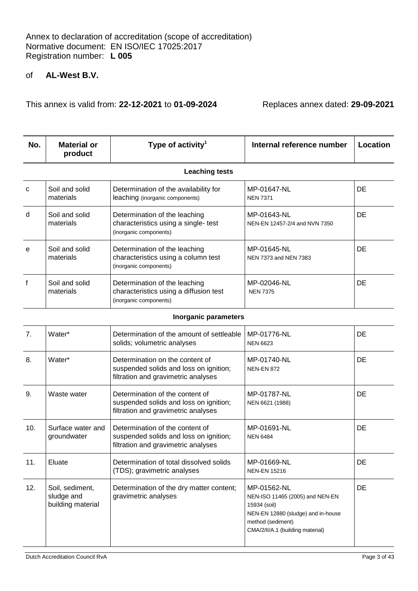This annex is valid from: **22-12-2021** to **01-09-2024** Replaces annex dated: **29-09-2021**

| No.                  | <b>Material or</b><br>product | Type of activity <sup>1</sup>                                                                     | Internal reference number                    | Location  |
|----------------------|-------------------------------|---------------------------------------------------------------------------------------------------|----------------------------------------------|-----------|
|                      |                               | <b>Leaching tests</b>                                                                             |                                              |           |
| $\mathbf{C}$         | Soil and solid<br>materials   | Determination of the availability for<br>leaching (inorganic components)                          | MP-01647-NL<br><b>NEN 7371</b>               | DE        |
| d                    | Soil and solid<br>materials   | Determination of the leaching<br>characteristics using a single- test<br>(inorganic components)   | MP-01643-NL<br>NEN-EN 12457-2/4 and NVN 7350 | <b>DE</b> |
| e                    | Soil and solid<br>materials   | Determination of the leaching<br>characteristics using a column test<br>(inorganic components)    | MP-01645-NL<br>NEN 7373 and NEN 7383         | DE        |
| $\mathsf{f}$         | Soil and solid<br>materials   | Determination of the leaching<br>characteristics using a diffusion test<br>(inorganic components) | MP-02046-NL<br><b>NEN 7375</b>               | DE        |
| laavaania navamatava |                               |                                                                                                   |                                              |           |

#### **Inorganic parameters**

| 7 <sub>1</sub> | Water*                                             | Determination of the amount of settleable<br>solids; volumetric analyses                                         | MP-01776-NL<br><b>NEN 6623</b>                                                                                                                                | DE        |
|----------------|----------------------------------------------------|------------------------------------------------------------------------------------------------------------------|---------------------------------------------------------------------------------------------------------------------------------------------------------------|-----------|
| 8.             | Water*                                             | Determination on the content of<br>suspended solids and loss on ignition;<br>filtration and gravimetric analyses | MP-01740-NL<br><b>NEN-EN 872</b>                                                                                                                              | DE        |
| 9.             | Waste water                                        | Determination of the content of<br>suspended solids and loss on ignition;<br>filtration and gravimetric analyses | MP-01787-NL<br>NEN 6621 (1988)                                                                                                                                | <b>DE</b> |
| 10.            | Surface water and<br>groundwater                   | Determination of the content of<br>suspended solids and loss on ignition;<br>filtration and gravimetric analyses | MP-01691-NL<br><b>NEN 6484</b>                                                                                                                                | <b>DE</b> |
| 11.            | Eluate                                             | Determination of total dissolved solids<br>(TDS); gravimetric analyses                                           | MP-01669-NL<br><b>NEN-EN 15216</b>                                                                                                                            | <b>DE</b> |
| 12.            | Soil, sediment,<br>sludge and<br>building material | Determination of the dry matter content;<br>gravimetric analyses                                                 | MP-01562-NL<br>NEN-ISO 11465 (2005) and NEN-EN<br>15934 (soil)<br>NEN-EN 12880 (sludge) and in-house<br>method (sediment)<br>CMA/2/II/A.1 (building material) | DE        |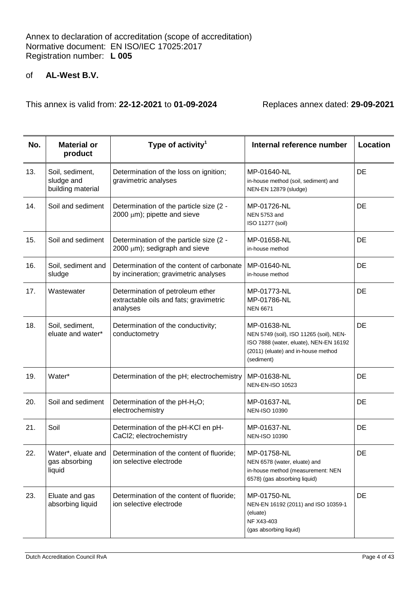| No. | <b>Material or</b><br>product                      | Type of activity <sup>1</sup>                                                          | Internal reference number                                                                                                                             | Location |
|-----|----------------------------------------------------|----------------------------------------------------------------------------------------|-------------------------------------------------------------------------------------------------------------------------------------------------------|----------|
| 13. | Soil, sediment,<br>sludge and<br>building material | Determination of the loss on ignition;<br>gravimetric analyses                         | MP-01640-NL<br>in-house method (soil, sediment) and<br>NEN-EN 12879 (sludge)                                                                          | DE       |
| 14. | Soil and sediment                                  | Determination of the particle size (2 -<br>2000 $\mu$ m); pipette and sieve            | MP-01726-NL<br>NEN 5753 and<br>ISO 11277 (soil)                                                                                                       | DE       |
| 15. | Soil and sediment                                  | Determination of the particle size (2 -<br>2000 $\mu$ m); sedigraph and sieve          | MP-01658-NL<br>in-house method                                                                                                                        | DE       |
| 16. | Soil, sediment and<br>sludge                       | Determination of the content of carbonate<br>by incineration; gravimetric analyses     | MP-01640-NL<br>in-house method                                                                                                                        | DE       |
| 17. | Wastewater                                         | Determination of petroleum ether<br>extractable oils and fats; gravimetric<br>analyses | MP-01773-NL<br>MP-01786-NL<br><b>NEN 6671</b>                                                                                                         | DE       |
| 18. | Soil, sediment,<br>eluate and water*               | Determination of the conductivity;<br>conductometry                                    | MP-01638-NL<br>NEN 5749 (soil), ISO 11265 (soil), NEN-<br>ISO 7888 (water, eluate), NEN-EN 16192<br>(2011) (eluate) and in-house method<br>(sediment) | DE       |
| 19. | Water*                                             | Determination of the pH; electrochemistry                                              | MP-01638-NL<br><b>NEN-EN-ISO 10523</b>                                                                                                                | DE       |
| 20. | Soil and sediment                                  | Determination of the $pH-H2O$ ;<br>electrochemistry                                    | MP-01637-NL<br><b>NEN-ISO 10390</b>                                                                                                                   | DE       |
| 21. | Soil                                               | Determination of the pH-KCI en pH-<br>CaCl2; electrochemistry                          | MP-01637-NL<br><b>NEN-ISO 10390</b>                                                                                                                   | DE       |
| 22. | Water*, eluate and<br>gas absorbing<br>liquid      | Determination of the content of fluoride;<br>ion selective electrode                   | MP-01758-NL<br>NEN 6578 (water, eluate) and<br>in-house method (measurement: NEN<br>6578) (gas absorbing liquid)                                      | DE       |
| 23. | Eluate and gas<br>absorbing liquid                 | Determination of the content of fluoride;<br>ion selective electrode                   | MP-01750-NL<br>NEN-EN 16192 (2011) and ISO 10359-1<br>(eluate)<br>NF X43-403<br>(gas absorbing liquid)                                                | DE       |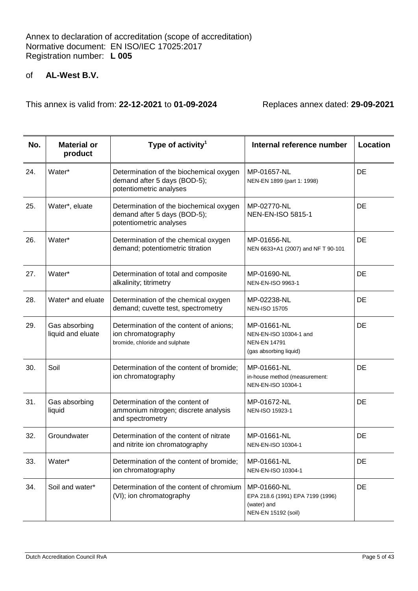| No. | <b>Material or</b><br>product      | Type of activity <sup>1</sup>                                                                      | Internal reference number                                                              | Location  |
|-----|------------------------------------|----------------------------------------------------------------------------------------------------|----------------------------------------------------------------------------------------|-----------|
| 24. | Water*                             | Determination of the biochemical oxygen<br>demand after 5 days (BOD-5);<br>potentiometric analyses | MP-01657-NL<br>NEN-EN 1899 (part 1: 1998)                                              | DE        |
| 25. | Water*, eluate                     | Determination of the biochemical oxygen<br>demand after 5 days (BOD-5);<br>potentiometric analyses | MP-02770-NL<br><b>NEN-EN-ISO 5815-1</b>                                                | DE        |
| 26. | Water*                             | Determination of the chemical oxygen<br>demand; potentiometric titration                           | MP-01656-NL<br>NEN 6633+A1 (2007) and NF T 90-101                                      | DE        |
| 27. | Water*                             | Determination of total and composite<br>alkalinity; titrimetry                                     | MP-01690-NL<br>NEN-EN-ISO 9963-1                                                       | DE        |
| 28. | Water* and eluate                  | Determination of the chemical oxygen<br>demand; cuvette test, spectrometry                         | MP-02238-NL<br><b>NEN-ISO 15705</b>                                                    | DE        |
| 29. | Gas absorbing<br>liquid and eluate | Determination of the content of anions;<br>ion chromatography<br>bromide, chloride and sulphate    | MP-01661-NL<br>NEN-EN-ISO 10304-1 and<br><b>NEN-EN 14791</b><br>(gas absorbing liquid) | <b>DE</b> |
| 30. | Soil                               | Determination of the content of bromide;<br>ion chromatography                                     | MP-01661-NL<br>in-house method (measurement:<br>NEN-EN-ISO 10304-1                     | DE        |
| 31. | Gas absorbing<br>liquid            | Determination of the content of<br>ammonium nitrogen; discrete analysis<br>and spectrometry        | MP-01672-NL<br>NEN-ISO 15923-1                                                         | DE        |
| 32. | Groundwater                        | Determination of the content of nitrate<br>and nitrite ion chromatography                          | MP-01661-NL<br>NEN-EN-ISO 10304-1                                                      | DE        |
| 33. | Water*                             | Determination of the content of bromide;<br>ion chromatography                                     | MP-01661-NL<br>NEN-EN-ISO 10304-1                                                      | DE        |
| 34. | Soil and water*                    | Determination of the content of chromium<br>(VI); ion chromatography                               | MP-01660-NL<br>EPA 218.6 (1991) EPA 7199 (1996)<br>(water) and<br>NEN-EN 15192 (soil)  | DE        |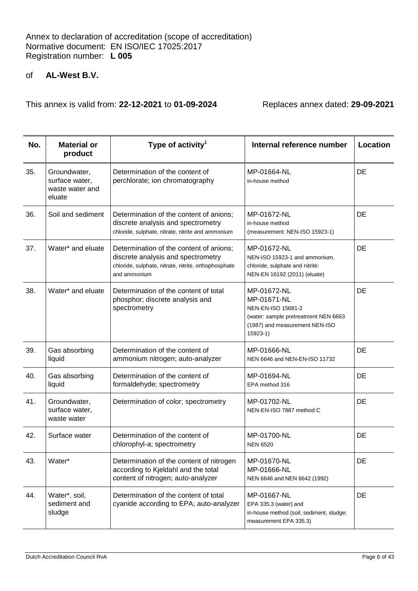| No. | <b>Material or</b><br>product                               | Type of activity <sup>1</sup>                                                                                                                         | Internal reference number                                                                                                              | Location  |
|-----|-------------------------------------------------------------|-------------------------------------------------------------------------------------------------------------------------------------------------------|----------------------------------------------------------------------------------------------------------------------------------------|-----------|
| 35. | Groundwater,<br>surface water,<br>waste water and<br>eluate | Determination of the content of<br>perchlorate; ion chromatography                                                                                    | MP-01664-NL<br>in-house method                                                                                                         | DE        |
| 36. | Soil and sediment                                           | Determination of the content of anions;<br>discrete analysis and spectrometry<br>chloride, sulphate, nitrate, nitrite and ammonium                    | MP-01672-NL<br>in-house method<br>(measurement: NEN-ISO 15923-1)                                                                       | DE        |
| 37. | Water* and eluate                                           | Determination of the content of anions;<br>discrete analysis and spectrometry<br>chloride, sulphate, nitrate, nitrite, orthophosphate<br>and ammonium | MP-01672-NL<br>NEN-ISO 15923-1 and ammonium,<br>chloride, sulphate and nitrite:<br>NEN-EN 16192 (2011) (eluate)                        | DE        |
| 38. | Water* and eluate                                           | Determination of the content of total<br>phosphor; discrete analysis and<br>spectrometry                                                              | MP-01672-NL<br>MP-01671-NL<br>NEN-EN-ISO 15681-2<br>(water: sample pretreatment NEN 6663<br>(1987) and measurement NEN-ISO<br>15923-1) | DE        |
| 39. | Gas absorbing<br>liquid                                     | Determination of the content of<br>ammonium nitrogen; auto-analyzer                                                                                   | MP-01666-NL<br>NEN 6646 and NEN-EN-ISO 11732                                                                                           | DE        |
| 40. | Gas absorbing<br>liquid                                     | Determination of the content of<br>formaldehyde; spectrometry                                                                                         | MP-01694-NL<br>EPA method 316                                                                                                          | <b>DE</b> |
| 41. | Groundwater,<br>surface water,<br>waste water               | Determination of color; spectrometry                                                                                                                  | MP-01702-NL<br>NEN-EN-ISO 7887 method C                                                                                                | DE        |
| 42. | Surface water                                               | Determination of the content of<br>chlorophyl-a; spectrometry                                                                                         | MP-01700-NL<br><b>NEN 6520</b>                                                                                                         | DE        |
| 43. | Water*                                                      | Determination of the content of nitrogen<br>according to Kjeldahl and the total<br>content of nitrogen; auto-analyzer                                 | MP-01670-NL<br>MP-01666-NL<br>NEN 6646 and NEN 6642 (1992)                                                                             | DE        |
| 44. | Water*, soil,<br>sediment and<br>sludge                     | Determination of the content of total<br>cyanide according to EPA; auto-analyzer                                                                      | MP-01667-NL<br>EPA 335.3 (water) and<br>in-house method (soil, sediment, sludge;<br>measurement EPA 335.3)                             | DE        |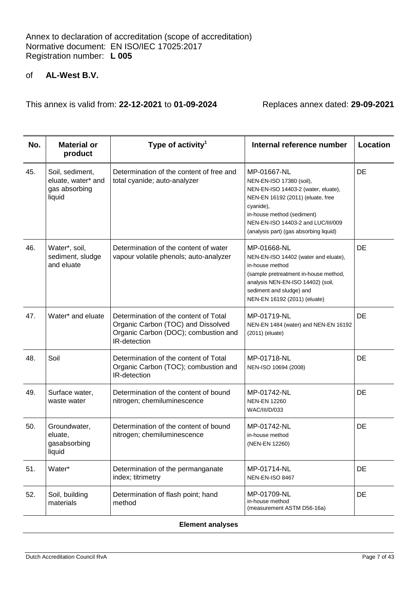This annex is valid from: **22-12-2021** to **01-09-2024** Replaces annex dated: **29-09-2021**

| No. | <b>Material or</b><br>product                                    | Type of activity <sup>1</sup>                                                                                                       | Internal reference number                                                                                                                                                                                                                      | Location  |
|-----|------------------------------------------------------------------|-------------------------------------------------------------------------------------------------------------------------------------|------------------------------------------------------------------------------------------------------------------------------------------------------------------------------------------------------------------------------------------------|-----------|
| 45. | Soil, sediment,<br>eluate, water* and<br>gas absorbing<br>liquid | Determination of the content of free and<br>total cyanide; auto-analyzer                                                            | MP-01667-NL<br>NEN-EN-ISO 17380 (soil),<br>NEN-EN-ISO 14403-2 (water, eluate),<br>NEN-EN 16192 (2011) (eluate, free<br>cyanide),<br>in-house method (sediment)<br>NEN-EN-ISO 14403-2 and LUC/III/009<br>(analysis part) (gas absorbing liquid) | DE        |
| 46. | Water*, soil,<br>sediment, sludge<br>and eluate                  | Determination of the content of water<br>vapour volatile phenols; auto-analyzer                                                     | MP-01668-NL<br>NEN-EN-ISO 14402 (water and eluate),<br>in-house method<br>(sample pretreatment in-house method,<br>analysis NEN-EN-ISO 14402) (soil,<br>sediment and sludge) and<br>NEN-EN 16192 (2011) (eluate)                               | DE        |
| 47. | Water* and eluate                                                | Determination of the content of Total<br>Organic Carbon (TOC) and Dissolved<br>Organic Carbon (DOC); combustion and<br>IR-detection | MP-01719-NL<br>NEN-EN 1484 (water) and NEN-EN 16192<br>$(2011)$ (eluate)                                                                                                                                                                       | DE        |
| 48. | Soil                                                             | Determination of the content of Total<br>Organic Carbon (TOC); combustion and<br>IR-detection                                       | MP-01718-NL<br>NEN-ISO 10694 (2008)                                                                                                                                                                                                            | DE        |
| 49. | Surface water,<br>waste water                                    | Determination of the content of bound<br>nitrogen; chemiluminescence                                                                | MP-01742-NL<br><b>NEN-EN 12260</b><br>WAC/III/D/033                                                                                                                                                                                            | DE        |
| 50. | Groundwater,<br>eluate,<br>gasabsorbing<br>liquid                | Determination of the content of bound<br>nitrogen; chemiluminescence                                                                | MP-01742-NL<br>in-house method<br>(NEN-EN 12260)                                                                                                                                                                                               | DE        |
| 51. | Water*                                                           | Determination of the permanganate<br>index; titrimetry                                                                              | MP-01714-NL<br>NEN-EN-ISO 8467                                                                                                                                                                                                                 | <b>DE</b> |
| 52. | Soil, building<br>materials                                      | Determination of flash point; hand<br>method                                                                                        | MP-01709-NL<br>in-house method<br>(measurement ASTM D56-16a)                                                                                                                                                                                   | DE        |

#### **Element analyses**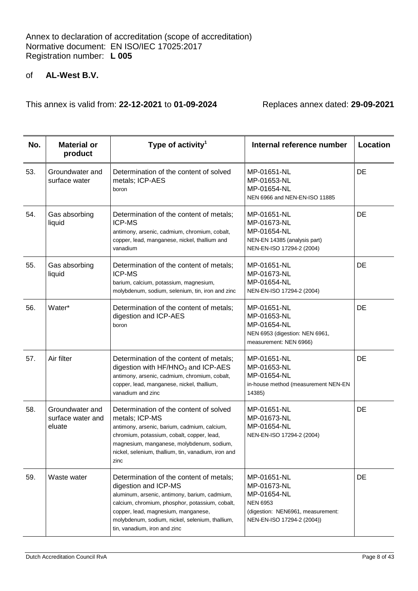| No. | <b>Material or</b><br>product                  | Type of activity <sup>1</sup>                                                                                                                                                                                                                                                                 | Internal reference number                                                                                                       | Location |
|-----|------------------------------------------------|-----------------------------------------------------------------------------------------------------------------------------------------------------------------------------------------------------------------------------------------------------------------------------------------------|---------------------------------------------------------------------------------------------------------------------------------|----------|
| 53. | Groundwater and<br>surface water               | Determination of the content of solved<br>metals; ICP-AES<br>boron                                                                                                                                                                                                                            | MP-01651-NL<br>MP-01653-NL<br>MP-01654-NL<br>NEN 6966 and NEN-EN-ISO 11885                                                      | DE       |
| 54. | Gas absorbing<br>liquid                        | Determination of the content of metals;<br><b>ICP-MS</b><br>antimony, arsenic, cadmium, chromium, cobalt,<br>copper, lead, manganese, nickel, thallium and<br>vanadium                                                                                                                        | MP-01651-NL<br>MP-01673-NL<br>MP-01654-NL<br>NEN-EN 14385 (analysis part)<br>NEN-EN-ISO 17294-2 (2004)                          | DE       |
| 55. | Gas absorbing<br>liquid                        | Determination of the content of metals;<br><b>ICP-MS</b><br>barium, calcium, potassium, magnesium,<br>molybdenum, sodium, selenium, tin, iron and zinc                                                                                                                                        | MP-01651-NL<br>MP-01673-NL<br>MP-01654-NL<br>NEN-EN-ISO 17294-2 (2004)                                                          | DE       |
| 56. | Water*                                         | Determination of the content of metals;<br>digestion and ICP-AES<br>boron                                                                                                                                                                                                                     | MP-01651-NL<br>MP-01653-NL<br>MP-01654-NL<br>NEN 6953 (digestion: NEN 6961,<br>measurement: NEN 6966)                           | DE       |
| 57. | Air filter                                     | Determination of the content of metals;<br>digestion with $HF/HNO3$ and ICP-AES<br>antimony, arsenic, cadmium, chromium, cobalt,<br>copper, lead, manganese, nickel, thallium,<br>vanadium and zinc                                                                                           | MP-01651-NL<br>MP-01653-NL<br>MP-01654-NL<br>in-house method (measurement NEN-EN<br>14385)                                      | DE       |
| 58. | Groundwater and<br>surface water and<br>eluate | Determination of the content of solved<br>metals; ICP-MS<br>antimony, arsenic, barium, cadmium, calcium,<br>chromium, potassium, cobalt, copper, lead,<br>magnesium, manganese, molybdenum, sodium,<br>nickel, selenium, thallium, tin, vanadium, iron and<br>zinc                            | MP-01651-NL<br>MP-01673-NL<br>MP-01654-NL<br>NEN-EN-ISO 17294-2 (2004)                                                          | DE       |
| 59. | Waste water                                    | Determination of the content of metals;<br>digestion and ICP-MS<br>aluminum, arsenic, antimony, barium, cadmium,<br>calcium, chromium, phosphor, potassium, cobalt,<br>copper, lead, magnesium, manganese,<br>molybdenum, sodium, nickel, selenium, thallium,<br>tin, vanadium, iron and zinc | MP-01651-NL<br>MP-01673-NL<br>MP-01654-NL<br><b>NEN 6953</b><br>(digestion: NEN6961, measurement:<br>NEN-EN-ISO 17294-2 (2004)) | DE       |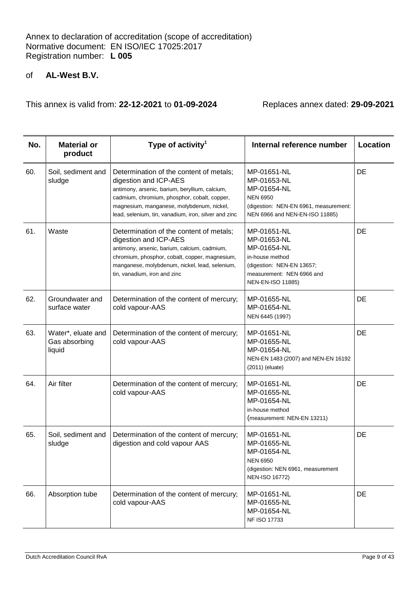| No. | <b>Material or</b><br>product                 | Type of activity <sup>1</sup>                                                                                                                                                                                                                                           | Internal reference number                                                                                                                   | Location |
|-----|-----------------------------------------------|-------------------------------------------------------------------------------------------------------------------------------------------------------------------------------------------------------------------------------------------------------------------------|---------------------------------------------------------------------------------------------------------------------------------------------|----------|
| 60. | Soil, sediment and<br>sludge                  | Determination of the content of metals;<br>digestion and ICP-AES<br>antimony, arsenic, barium, beryllium, calcium,<br>cadmium, chromium, phosphor, cobalt, copper,<br>magnesium, manganese, molybdenum, nickel,<br>lead, selenium, tin, vanadium, iron, silver and zinc | MP-01651-NL<br>MP-01653-NL<br>MP-01654-NL<br><b>NEN 6950</b><br>(digestion: NEN-EN 6961, measurement:<br>NEN 6966 and NEN-EN-ISO 11885)     | DE       |
| 61. | Waste                                         | Determination of the content of metals;<br>digestion and ICP-AES<br>antimony, arsenic, barium, calcium, cadmium,<br>chromium, phosphor, cobalt, copper, magnesium,<br>manganese, molybdenum, nickel, lead, selenium,<br>tin, vanadium, iron and zinc                    | MP-01651-NL<br>MP-01653-NL<br>MP-01654-NL<br>in-house method<br>(digestion: NEN-EN 13657;<br>measurement: NEN 6966 and<br>NEN-EN-ISO 11885) | DE       |
| 62. | Groundwater and<br>surface water              | Determination of the content of mercury;<br>cold vapour-AAS                                                                                                                                                                                                             | MP-01655-NL<br>MP-01654-NL<br>NEN 6445 (1997)                                                                                               | DE       |
| 63. | Water*, eluate and<br>Gas absorbing<br>liquid | Determination of the content of mercury;<br>cold vapour-AAS                                                                                                                                                                                                             | MP-01651-NL<br>MP-01655-NL<br>MP-01654-NL<br>NEN-EN 1483 (2007) and NEN-EN 16192<br>$(2011)$ (eluate)                                       | DE       |
| 64. | Air filter                                    | Determination of the content of mercury;<br>cold vapour-AAS                                                                                                                                                                                                             | MP-01651-NL<br>MP-01655-NL<br>MP-01654-NL<br>in-house method<br>(measurement: NEN-EN 13211)                                                 | DE       |
| 65. | Soil, sediment and<br>sludge                  | Determination of the content of mercury;<br>digestion and cold vapour AAS                                                                                                                                                                                               | MP-01651-NL<br>MP-01655-NL<br>MP-01654-NL<br><b>NEN 6950</b><br>(digestion: NEN 6961, measurement<br>NEN-ISO 16772)                         | DE       |
| 66. | Absorption tube                               | Determination of the content of mercury;<br>cold vapour-AAS                                                                                                                                                                                                             | MP-01651-NL<br>MP-01655-NL<br>MP-01654-NL<br><b>NF ISO 17733</b>                                                                            | DE       |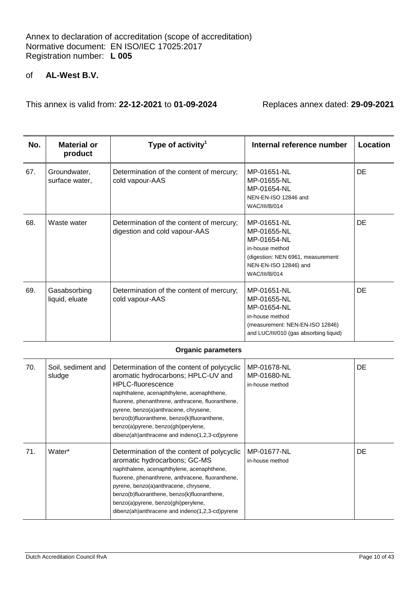This annex is valid from: **22-12-2021** to **01-09-2024** Replaces annex dated: **29-09-2021**

| No. | <b>Material or</b><br>product  | Type of activity <sup>1</sup>                                             | Internal reference number                                                                                                                           | Location  |
|-----|--------------------------------|---------------------------------------------------------------------------|-----------------------------------------------------------------------------------------------------------------------------------------------------|-----------|
| 67. | Groundwater,<br>surface water, | Determination of the content of mercury;<br>cold vapour-AAS               | MP-01651-NL<br>MP-01655-NL<br>MP-01654-NL<br>NEN-EN-ISO 12846 and<br><b>WAC/III/B/014</b>                                                           | <b>DE</b> |
| 68. | Waste water                    | Determination of the content of mercury;<br>digestion and cold vapour-AAS | MP-01651-NL<br>MP-01655-NL<br>MP-01654-NL<br>in-house method<br>(digestion: NEN 6961, measurement:<br>NEN-EN-ISO 12846) and<br><b>WAC/III/B/014</b> | <b>DE</b> |
| 69. | Gasabsorbing<br>liquid, eluate | Determination of the content of mercury;<br>cold vapour-AAS               | MP-01651-NL<br>MP-01655-NL<br>MP-01654-NL<br>in-house method<br>(measurement: NEN-EN-ISO 12846)<br>and LUC/III/010 (gas absorbing liquid)           | <b>DE</b> |

#### **Organic parameters**

| 70. | Soil, sediment and<br>sludge | Determination of the content of polycyclic<br>aromatic hydrocarbons; HPLC-UV and<br><b>HPLC-fluorescence</b><br>naphthalene, acenaphthylene, acenaphthene,<br>fluorene, phenanthrene, anthracene, fluoranthene,<br>pyrene, benzo(a)anthracene, chrysene,<br>benzo(b)fluoranthene, benzo(k)fluoranthene,<br>benzo(a)pyrene, benzo(ghi)perylene,<br>dibenz(ah)anthracene and indeno(1,2,3-cd)pyrene | MP-01678-NL<br>MP-01680-NL<br>in-house method | <b>DE</b> |
|-----|------------------------------|---------------------------------------------------------------------------------------------------------------------------------------------------------------------------------------------------------------------------------------------------------------------------------------------------------------------------------------------------------------------------------------------------|-----------------------------------------------|-----------|
| 71. | Water*                       | Determination of the content of polycyclic<br>aromatic hydrocarbons; GC-MS<br>naphthalene, acenaphthylene, acenaphthene,<br>fluorene, phenanthrene, anthracene, fluoranthene,<br>pyrene, benzo(a)anthracene, chrysene,<br>benzo(b)fluoranthene, benzo(k)fluoranthene,<br>benzo(a)pyrene, benzo(ghi)perylene,<br>dibenz(ah)anthracene and indeno(1,2,3-cd)pyrene                                   | MP-01677-NL<br>in-house method                | <b>DE</b> |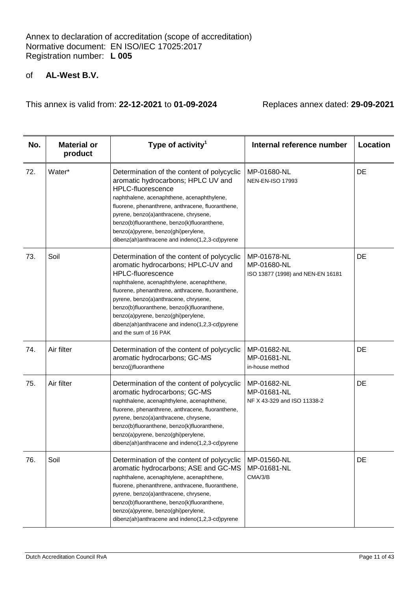| No. | <b>Material or</b><br>product | Type of activity <sup>1</sup>                                                                                                                                                                                                                                                                                                                                                                                              | Internal reference number                                       | Location |
|-----|-------------------------------|----------------------------------------------------------------------------------------------------------------------------------------------------------------------------------------------------------------------------------------------------------------------------------------------------------------------------------------------------------------------------------------------------------------------------|-----------------------------------------------------------------|----------|
| 72. | Water*                        | Determination of the content of polycyclic<br>aromatic hydrocarbons; HPLC UV and<br><b>HPLC-fluorescence</b><br>naphthalene, acenaphthene, acenaphthylene,<br>fluorene, phenanthrene, anthracene, fluoranthene,<br>pyrene, benzo(a)anthracene, chrysene,<br>benzo(b)fluoranthene, benzo(k)fluoranthene,<br>benzo(a)pyrene, benzo(ghi)perylene,<br>dibenz(ah)anthracene and indeno(1,2,3-cd)pyrene                          | MP-01680-NL<br><b>NEN-EN-ISO 17993</b>                          | DE       |
| 73. | Soil                          | Determination of the content of polycyclic<br>aromatic hydrocarbons; HPLC-UV and<br><b>HPLC-fluorescence</b><br>naphthalene, acenaphthylene, acenaphthene,<br>fluorene, phenanthrene, anthracene, fluoranthene,<br>pyrene, benzo(a)anthracene, chrysene,<br>benzo(b)fluoranthene, benzo(k)fluoranthene,<br>benzo(a)pyrene, benzo(ghi)perylene,<br>dibenz(ah)anthracene and indeno(1,2,3-cd)pyrene<br>and the sum of 16 PAK | MP-01678-NL<br>MP-01680-NL<br>ISO 13877 (1998) and NEN-EN 16181 | DE       |
| 74. | Air filter                    | Determination of the content of polycyclic<br>aromatic hydrocarbons; GC-MS<br>benzo(j)fluoranthene                                                                                                                                                                                                                                                                                                                         | MP-01682-NL<br>MP-01681-NL<br>in-house method                   | DE       |
| 75. | Air filter                    | Determination of the content of polycyclic<br>aromatic hydrocarbons; GC-MS<br>naphthalene, acenaphthylene, acenaphthene,<br>fluorene, phenanthrene, anthracene, fluoranthene,<br>pyrene, benzo(a)anthracene, chrysene,<br>benzo(b)fluoranthene, benzo(k)fluoranthene,<br>benzo(a)pyrene, benzo(ghi)perylene,<br>dibenz(ah)anthracene and indeno(1,2,3-cd)pyrene                                                            | MP-01682-NL<br>MP-01681-NL<br>NF X 43-329 and ISO 11338-2       | DE       |
| 76. | Soil                          | Determination of the content of polycyclic<br>aromatic hydrocarbons; ASE and GC-MS<br>naphthalene, acenaphtylene, acenaphthene,<br>fluorene, phenanthrene, anthracene, fluoranthene,<br>pyrene, benzo(a)anthracene, chrysene,<br>benzo(b)fluoranthene, benzo(k)fluoranthene,<br>benzo(a)pyrene, benzo(ghi)perylene,<br>dibenz(ah)anthracene and indeno(1,2,3-cd)pyrene                                                     | MP-01560-NL<br>MP-01681-NL<br>CMA/3/B                           | DE       |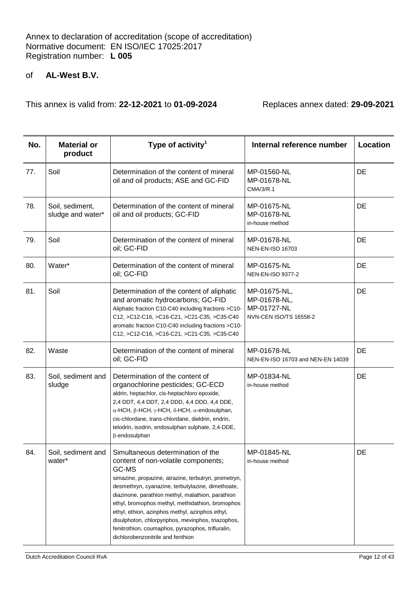| No. | <b>Material or</b><br>product        | Type of activity <sup>1</sup>                                                                                                                                                                                                                                                                                                                                                                                                                                                                              | Internal reference number                                             | Location |
|-----|--------------------------------------|------------------------------------------------------------------------------------------------------------------------------------------------------------------------------------------------------------------------------------------------------------------------------------------------------------------------------------------------------------------------------------------------------------------------------------------------------------------------------------------------------------|-----------------------------------------------------------------------|----------|
| 77. | Soil                                 | Determination of the content of mineral<br>oil and oil products; ASE and GC-FID                                                                                                                                                                                                                                                                                                                                                                                                                            | MP-01560-NL<br>MP-01678-NL<br>CMA/3/R.1                               | DE       |
| 78. | Soil, sediment,<br>sludge and water* | Determination of the content of mineral<br>oil and oil products; GC-FID                                                                                                                                                                                                                                                                                                                                                                                                                                    | MP-01675-NL<br>MP-01678-NL<br>in-house method                         | DE       |
| 79. | Soil                                 | Determination of the content of mineral<br>oil; GC-FID                                                                                                                                                                                                                                                                                                                                                                                                                                                     | MP-01678-NL<br><b>NEN-EN-ISO 16703</b>                                | DE       |
| 80. | Water*                               | Determination of the content of mineral<br>oil; GC-FID                                                                                                                                                                                                                                                                                                                                                                                                                                                     | MP-01675-NL<br><b>NEN-EN-ISO 9377-2</b>                               | DE       |
| 81. | Soil                                 | Determination of the content of aliphatic<br>and aromatic hydrocarbons; GC-FID<br>Aliphatic fraction C10-C40 including fractions >C10-<br>C12, >C12-C16, >C16-C21, >C21-C35, >C35-C40<br>aromatic fraction C10-C40 including fractions >C10-<br>C12, >C12-C16, >C16-C21, >C21-C35, >C35-C40                                                                                                                                                                                                                | MP-01675-NL,<br>MP-01678-NL,<br>MP-01727-NL<br>NVN-CEN ISO/TS 16558-2 | DE       |
| 82. | Waste                                | Determination of the content of mineral<br>oil; GC-FID                                                                                                                                                                                                                                                                                                                                                                                                                                                     | MP-01678-NL<br>NEN-EN-ISO 16703 and NEN-EN 14039                      | DE       |
| 83. | Soil, sediment and<br>sludge         | Determination of the content of<br>organochlorine pesticides; GC-ECD<br>aldrin, heptachlor, cis-heptachloro epoxide,<br>2,4 DDT, 4,4 DDT, 2,4 DDD, 4,4 DDD, 4,4 DDE,<br>$\alpha$ -HCH, β-HCH, γ-HCH, δ-HCH, $\alpha$ -endosulphan,<br>cis-chlordane, trans-chlordane, dieldrin, endrin,<br>telodrin, isodrin, endosulphan sulphate, 2,4-DDE,<br>β-endosulphan                                                                                                                                              | MP-01834-NL<br>in-house method                                        | DE       |
| 84. | Soil, sediment and<br>water*         | Simultaneous determination of the<br>content of non-volatile components;<br>GC-MS<br>simazine, propazine, atrazine, terbutryn, prometryn,<br>desmethryn, cyanazine, terbutylazine, dimethoate,<br>diazinone, parathion methyl, malathion, parathion<br>ethyl, bromophos methyl, methidathion, bromophos<br>ethyl, ethion, azinphos methyl, azinphos ethyl,<br>disulphoton, chlorpyriphos, mevinphos, triazophos,<br>fenitrothion, coumaphos, pyrazophos, trifluralin,<br>dichlorobenzonitrile and fenthion | MP-01845-NL<br>in-house method                                        | DE       |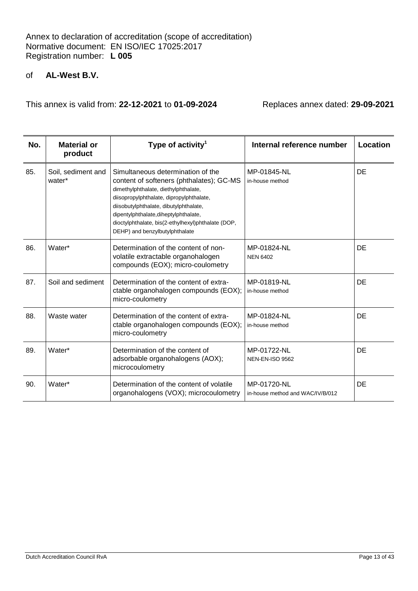# of **AL-West B.V.**

| No. | <b>Material or</b><br>product | Type of activity <sup>1</sup>                                                                                                                                                                                                                                                                                                                | Internal reference number                       | Location  |
|-----|-------------------------------|----------------------------------------------------------------------------------------------------------------------------------------------------------------------------------------------------------------------------------------------------------------------------------------------------------------------------------------------|-------------------------------------------------|-----------|
| 85. | Soil, sediment and<br>water*  | Simultaneous determination of the<br>content of softeners (phthalates); GC-MS<br>dimethylphthalate, diethylphthalate,<br>diisopropylphthalate, dipropylphthalate,<br>diisobutylphthalate, dibutylphthalate,<br>dipentylphthalate, diheptylphthalate,<br>dioctylphthalate, bis(2-ethylhexyl)phthalate (DOP,<br>DEHP) and benzylbutylphthalate | MP-01845-NL<br>in-house method                  | <b>DE</b> |
| 86. | Water*                        | Determination of the content of non-<br>volatile extractable organohalogen<br>compounds (EOX); micro-coulometry                                                                                                                                                                                                                              | MP-01824-NL<br><b>NEN 6402</b>                  | DE        |
| 87. | Soil and sediment             | Determination of the content of extra-<br>ctable organohalogen compounds (EOX);<br>micro-coulometry                                                                                                                                                                                                                                          | MP-01819-NL<br>in-house method                  | DE        |
| 88. | Waste water                   | Determination of the content of extra-<br>ctable organohalogen compounds (EOX);<br>micro-coulometry                                                                                                                                                                                                                                          | MP-01824-NL<br>in-house method                  | DE        |
| 89. | Water*                        | Determination of the content of<br>adsorbable organohalogens (AOX);<br>microcoulometry                                                                                                                                                                                                                                                       | MP-01722-NL<br><b>NEN-EN-ISO 9562</b>           | DE        |
| 90. | Water*                        | Determination of the content of volatile<br>organohalogens (VOX); microcoulometry                                                                                                                                                                                                                                                            | MP-01720-NL<br>in-house method and WAC/IV/B/012 | DE        |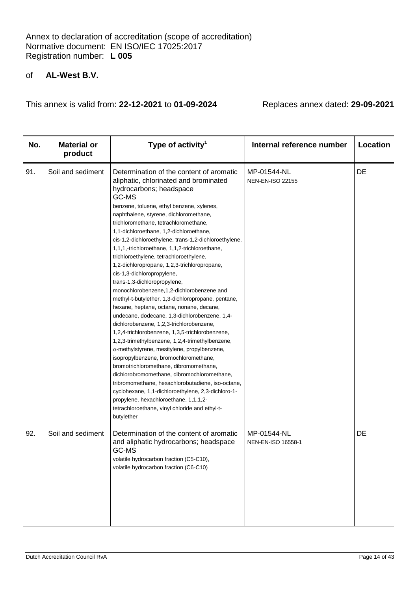| No. | <b>Material or</b><br>product | Type of activity <sup>1</sup>                                                                                                                                                                                                                                                                                                                                                                                                                                                                                                                                                                                                                                                                                                                                                                                                                                                                                                                                                                                                                                                                                                                                                                                                                                                                                                         | Internal reference number              | Location |
|-----|-------------------------------|---------------------------------------------------------------------------------------------------------------------------------------------------------------------------------------------------------------------------------------------------------------------------------------------------------------------------------------------------------------------------------------------------------------------------------------------------------------------------------------------------------------------------------------------------------------------------------------------------------------------------------------------------------------------------------------------------------------------------------------------------------------------------------------------------------------------------------------------------------------------------------------------------------------------------------------------------------------------------------------------------------------------------------------------------------------------------------------------------------------------------------------------------------------------------------------------------------------------------------------------------------------------------------------------------------------------------------------|----------------------------------------|----------|
| 91. | Soil and sediment             | Determination of the content of aromatic<br>aliphatic, chlorinated and brominated<br>hydrocarbons; headspace<br>GC-MS<br>benzene, toluene, ethyl benzene, xylenes,<br>naphthalene, styrene, dichloromethane,<br>trichloromethane, tetrachloromethane,<br>1,1-dichloroethane, 1,2-dichloroethane,<br>cis-1,2-dichloroethylene, trans-1,2-dichloroethylene,<br>1,1,1,-trichloroethane, 1,1,2-trichloroethane,<br>trichloroethylene, tetrachloroethylene,<br>1,2-dichloropropane, 1,2,3-trichloropropane,<br>cis-1,3-dichloropropylene,<br>trans-1,3-dichloropropylene,<br>monochlorobenzene, 1, 2-dichlorobenzene and<br>methyl-t-butylether, 1,3-dichloropropane, pentane,<br>hexane, heptane, octane, nonane, decane,<br>undecane, dodecane, 1,3-dichlorobenzene, 1,4-<br>dichlorobenzene, 1,2,3-trichlorobenzene,<br>1,2,4-trichlorobenzene, 1,3,5-trichlorobenzene,<br>1,2,3-trimethylbenzene, 1,2,4-trimethylbenzene,<br>$\alpha$ -methylstyrene, mesitylene, propylbenzene,<br>isopropylbenzene, bromochloromethane,<br>bromotrichloromethane, dibromomethane,<br>dichlorobromomethane, dibromochloromethane,<br>tribromomethane, hexachlorobutadiene, iso-octane,<br>cyclohexane, 1,1-dichloroethylene, 2,3-dichloro-1-<br>propylene, hexachloroethane, 1,1,1,2-<br>tetrachloroethane, vinyl chloride and ethyl-t-<br>butylether | MP-01544-NL<br><b>NEN-EN-ISO 22155</b> | DE       |
| 92. | Soil and sediment             | Determination of the content of aromatic<br>and aliphatic hydrocarbons; headspace<br>GC-MS<br>volatile hydrocarbon fraction (C5-C10),<br>volatile hydrocarbon fraction (C6-C10)                                                                                                                                                                                                                                                                                                                                                                                                                                                                                                                                                                                                                                                                                                                                                                                                                                                                                                                                                                                                                                                                                                                                                       | MP-01544-NL<br>NEN-EN-ISO 16558-1      | DE       |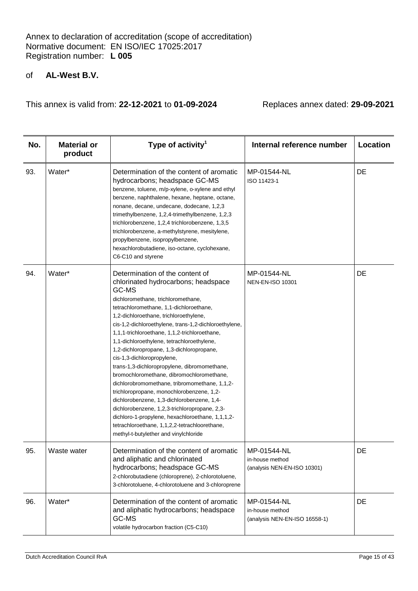| No. | <b>Material or</b><br>product | Type of activity <sup>1</sup>                                                                                                                                                                                                                                                                                                                                                                                                                                                                                                                                                                                                                                                                                                                                                                                                                                                         | Internal reference number                                       | Location |
|-----|-------------------------------|---------------------------------------------------------------------------------------------------------------------------------------------------------------------------------------------------------------------------------------------------------------------------------------------------------------------------------------------------------------------------------------------------------------------------------------------------------------------------------------------------------------------------------------------------------------------------------------------------------------------------------------------------------------------------------------------------------------------------------------------------------------------------------------------------------------------------------------------------------------------------------------|-----------------------------------------------------------------|----------|
| 93. | Water*                        | Determination of the content of aromatic<br>hydrocarbons; headspace GC-MS<br>benzene, toluene, m/p-xylene, o-xylene and ethyl<br>benzene, naphthalene, hexane, heptane, octane,<br>nonane, decane, undecane, dodecane, 1,2,3<br>trimethylbenzene, 1,2,4-trimethylbenzene, 1,2,3<br>trichlorobenzene, 1,2,4 trichlorobenzene, 1,3,5<br>trichlorobenzene, a-methylstyrene, mesitylene,<br>propylbenzene, isopropylbenzene,<br>hexachlorobutadiene, iso-octane, cyclohexane,<br>C6-C10 and styrene                                                                                                                                                                                                                                                                                                                                                                                       | MP-01544-NL<br>ISO 11423-1                                      | DE       |
| 94. | Water*                        | Determination of the content of<br>chlorinated hydrocarbons; headspace<br>GC-MS<br>dichloromethane, trichloromethane,<br>tetrachloromethane, 1,1-dichloroethane,<br>1,2-dichloroethane, trichloroethylene,<br>cis-1,2-dichloroethylene, trans-1,2-dichloroethylene,<br>1,1,1-trichloroethane, 1,1,2-trichloroethane,<br>1,1-dichloroethylene, tetrachloroethylene,<br>1,2-dichloropropane, 1,3-dichloropropane,<br>cis-1,3-dichloropropylene,<br>trans-1,3-dichloropropylene, dibromomethane,<br>bromochloromethane, dibromochloromethane,<br>dichlorobromomethane, tribromomethane, 1,1,2-<br>trichloropropane, monochlorobenzene, 1,2-<br>dichlorobenzene, 1,3-dichlorobenzene, 1,4-<br>dichlorobenzene, 1,2,3-trichloropropane, 2,3-<br>dichloro-1-propylene, hexachloroethane, 1,1,1,2-<br>tetrachloroethane, 1,1,2,2-tetrachloorethane,<br>methyl-t-butylether and vinylchloride | MP-01544-NL<br><b>NEN-EN-ISO 10301</b>                          | DE       |
| 95. | Waste water                   | Determination of the content of aromatic<br>and aliphatic and chlorinated<br>hydrocarbons; headspace GC-MS<br>2-chlorobutadiene (chloroprene), 2-chlorotoluene,<br>3-chlorotoluene, 4-chlorotoluene and 3-chloroprene                                                                                                                                                                                                                                                                                                                                                                                                                                                                                                                                                                                                                                                                 | MP-01544-NL<br>in-house method<br>(analysis NEN-EN-ISO 10301)   | DE       |
| 96. | Water*                        | Determination of the content of aromatic<br>and aliphatic hydrocarbons; headspace<br>GC-MS<br>volatile hydrocarbon fraction (C5-C10)                                                                                                                                                                                                                                                                                                                                                                                                                                                                                                                                                                                                                                                                                                                                                  | MP-01544-NL<br>in-house method<br>(analysis NEN-EN-ISO 16558-1) | DE       |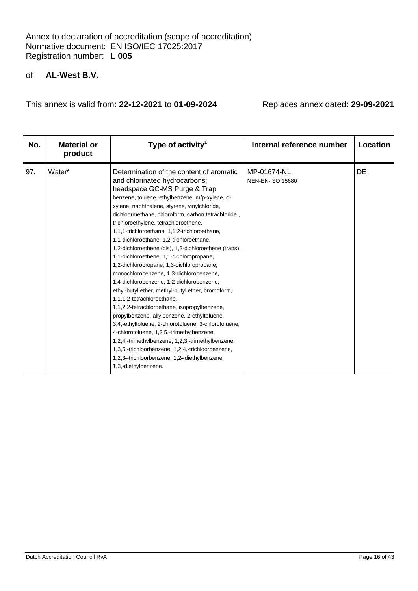# of **AL-West B.V.**

| No. | <b>Material or</b><br>product | Type of activity <sup>1</sup>                                                                                                                                                                                                                                                                                                                                                                                                                                                                                                                                                                                                                                                                                                                                                                                                                                                                                                                                                                                                                                                                                               | Internal reference number              | Location  |
|-----|-------------------------------|-----------------------------------------------------------------------------------------------------------------------------------------------------------------------------------------------------------------------------------------------------------------------------------------------------------------------------------------------------------------------------------------------------------------------------------------------------------------------------------------------------------------------------------------------------------------------------------------------------------------------------------------------------------------------------------------------------------------------------------------------------------------------------------------------------------------------------------------------------------------------------------------------------------------------------------------------------------------------------------------------------------------------------------------------------------------------------------------------------------------------------|----------------------------------------|-----------|
| 97. | Water*                        | Determination of the content of aromatic<br>and chlorinated hydrocarbons;<br>headspace GC-MS Purge & Trap<br>benzene, toluene, ethylbenzene, m/p-xylene, o-<br>xylene, naphthalene, styrene, vinylchloride,<br>dichloormethane, chloroform, carbon tetrachloride,<br>trichloroethylene, tetrachloroethene,<br>1,1,1-trichloroethane, 1,1,2-trichloroethane,<br>1,1-dichloroethane, 1,2-dichloroethane,<br>1,2-dichloroethene (cis), 1,2-dichloroethene (trans),<br>1,1-dichloroethene, 1,1-dichloropropane,<br>1,2-dichloropropane, 1,3-dichloropropane,<br>monochlorobenzene, 1,3-dichlorobenzene,<br>1,4-dichlorobenzene, 1,2-dichlorobenzene,<br>ethyl-butyl ether, methyl-butyl ether, bromoform,<br>1,1,1,2-tetrachloroethane,<br>1,1,2,2-tetrachloroethane, isopropylbenzene,<br>propylbenzene, allylbenzene, 2-ethyltoluene,<br>3,4,-ethyltoluene, 2-chlorotoluene, 3-chlorotoluene,<br>4-chlorotoluene, 1,3,5,-trimethylbenzene,<br>1,2,4,-trimethylbenzene, 1,2,3,-trimethylbenzene,<br>1,3,5,-trichloorbenzene, 1,2,4,-trichloorbenzene,<br>1,2,3,-trichloorbenzene, 1,2,-diethylbenzene,<br>1,3,-diethylbenzene. | MP-01674-NL<br><b>NEN-EN-ISO 15680</b> | <b>DE</b> |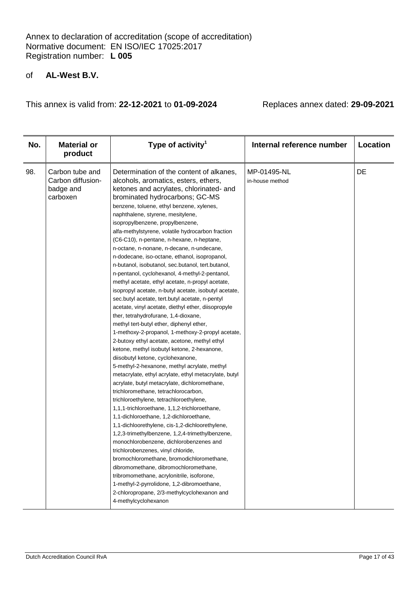# of **AL-West B.V.**

| No. | <b>Material or</b><br>product                                 | Type of activity <sup>1</sup>                                                                                                                                                                                                                                                                                                                                                                                                                                                                                                                                                                                                                                                                                                                                                                                                                                                                                                                                                                                                                                                                                                                                                                                                                                                                                                                                                                                                                                                                                                                                                                                                                                                                                                                                                                                                                                                            | Internal reference number      | Location |
|-----|---------------------------------------------------------------|------------------------------------------------------------------------------------------------------------------------------------------------------------------------------------------------------------------------------------------------------------------------------------------------------------------------------------------------------------------------------------------------------------------------------------------------------------------------------------------------------------------------------------------------------------------------------------------------------------------------------------------------------------------------------------------------------------------------------------------------------------------------------------------------------------------------------------------------------------------------------------------------------------------------------------------------------------------------------------------------------------------------------------------------------------------------------------------------------------------------------------------------------------------------------------------------------------------------------------------------------------------------------------------------------------------------------------------------------------------------------------------------------------------------------------------------------------------------------------------------------------------------------------------------------------------------------------------------------------------------------------------------------------------------------------------------------------------------------------------------------------------------------------------------------------------------------------------------------------------------------------------|--------------------------------|----------|
| 98. | Carbon tube and<br>Carbon diffusion-<br>badge and<br>carboxen | Determination of the content of alkanes,<br>alcohols, aromatics, esters, ethers,<br>ketones and acrylates, chlorinated- and<br>brominated hydrocarbons; GC-MS<br>benzene, toluene, ethyl benzene, xylenes,<br>naphthalene, styrene, mesitylene,<br>isopropylbenzene, propylbenzene,<br>alfa-methylstyrene, volatile hydrocarbon fraction<br>(C6-C10), n-pentane, n-hexane, n-heptane,<br>n-octane, n-nonane, n-decane, n-undecane,<br>n-dodecane, iso-octane, ethanol, isopropanol,<br>n-butanol, isobutanol, sec.butanol, tert.butanol,<br>n-pentanol, cyclohexanol, 4-methyl-2-pentanol,<br>methyl acetate, ethyl acetate, n-propyl acetate,<br>isopropyl acetate, n-butyl acetate, isobutyl acetate,<br>sec.butyl acetate, tert.butyl acetate, n-pentyl<br>acetate, vinyl acetate, diethyl ether, diisopropyle<br>ther, tetrahydrofurane, 1,4-dioxane,<br>methyl tert-butyl ether, diphenyl ether,<br>1-methoxy-2-propanol, 1-methoxy-2-propyl acetate,<br>2-butoxy ethyl acetate, acetone, methyl ethyl<br>ketone, methyl isobutyl ketone, 2-hexanone,<br>diisobutyl ketone, cyclohexanone,<br>5-methyl-2-hexanone, methyl acrylate, methyl<br>metacrylate, ethyl acrylate, ethyl metacrylate, butyl<br>acrylate, butyl metacrylate, dichloromethane,<br>trichloromethane, tetrachlorocarbon,<br>trichloroethylene, tetrachloroethylene,<br>1,1,1-trichloroethane, 1,1,2-trichloroethane,<br>1,1-dichloroethane, 1,2-dichloroethane,<br>1,1-dichloorethylene, cis-1,2-dichloorethylene,<br>1,2,3-trimethylbenzene, 1,2,4-trimethylbenzene,<br>monochlorobenzene, dichlorobenzenes and<br>trichlorobenzenes, vinyl chloride,<br>bromochloromethane, bromodichloromethane,<br>dibromomethane, dibromochloromethane,<br>tribromomethane, acrylonitrile, isoforone,<br>1-methyl-2-pyrrolidone, 1,2-dibromoethane,<br>2-chloropropane, 2/3-methylcyclohexanon and<br>4-methylcyclohexanon | MP-01495-NL<br>in-house method | DE       |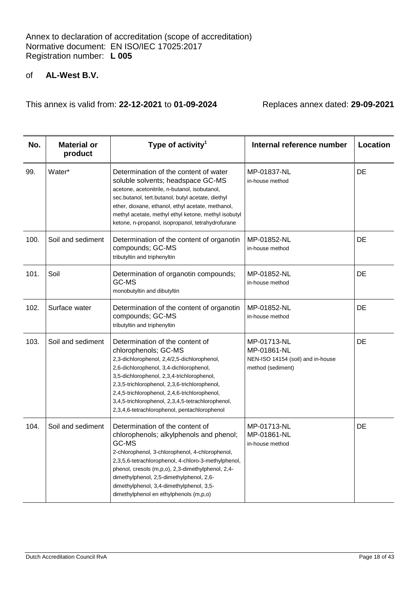| No.  | <b>Material or</b><br>product | Type of activity <sup>1</sup>                                                                                                                                                                                                                                                                                                                                                                          | Internal reference number                                                            | Location |
|------|-------------------------------|--------------------------------------------------------------------------------------------------------------------------------------------------------------------------------------------------------------------------------------------------------------------------------------------------------------------------------------------------------------------------------------------------------|--------------------------------------------------------------------------------------|----------|
| 99.  | Water*                        | Determination of the content of water<br>soluble solvents; headspace GC-MS<br>acetone, acetonitrile, n-butanol, isobutanol,<br>sec.butanol, tert.butanol, butyl acetate, diethyl<br>ether, dioxane, ethanol, ethyl acetate, methanol,<br>methyl acetate, methyl ethyl ketone, methyl isobutyl<br>ketone, n-propanol, isopropanol, tetrahydrofurane                                                     | MP-01837-NL<br>in-house method                                                       | DE       |
| 100. | Soil and sediment             | Determination of the content of organotin<br>compounds; GC-MS<br>tributyltin and triphenyltin                                                                                                                                                                                                                                                                                                          | MP-01852-NL<br>in-house method                                                       | DE       |
| 101. | Soil                          | Determination of organotin compounds;<br>GC-MS<br>monobutyltin and dibutyltin                                                                                                                                                                                                                                                                                                                          | MP-01852-NL<br>in-house method                                                       | DE       |
| 102. | Surface water                 | Determination of the content of organotin<br>compounds; GC-MS<br>tributyltin and triphenyltin                                                                                                                                                                                                                                                                                                          | MP-01852-NL<br>in-house method                                                       | DE       |
| 103. | Soil and sediment             | Determination of the content of<br>chlorophenols; GC-MS<br>2,3-dichlorophenol, 2,4/2,5-dichlorophenol,<br>2,6-dichlorophenol, 3,4-dichlorophenol,<br>3,5-dichlorophenol, 2,3,4-trichlorophenol,<br>2,3,5-trichlorophenol, 2,3,6-trichlorophenol,<br>2,4,5-trichlorophenol, 2,4,6-trichlorophenol,<br>3,4,5-trichlorophenol, 2,3,4,5-tetrachlorophenol,<br>2,3,4,6-tetrachlorophenol, pentachlorophenol | MP-01713-NL<br>MP-01861-NL<br>NEN-ISO 14154 (soil) and in-house<br>method (sediment) | DE       |
| 104. | Soil and sediment             | Determination of the content of<br>chlorophenols; alkylphenols and phenol;<br>GC-MS<br>2-chlorophenol, 3-chlorophenol, 4-chlorophenol,<br>2,3,5,6-tetrachlorophenol, 4-chloro-3-methylphenol,<br>phenol, cresols (m,p,o), 2,3-dimethylphenol, 2,4-<br>dimethylphenol, 2,5-dimethylphenol, 2,6-<br>dimethylphenol, 3,4-dimethylphenol, 3,5-<br>dimethylphenol en ethylphenols (m,p,o)                   | MP-01713-NL<br>MP-01861-NL<br>in-house method                                        | DE       |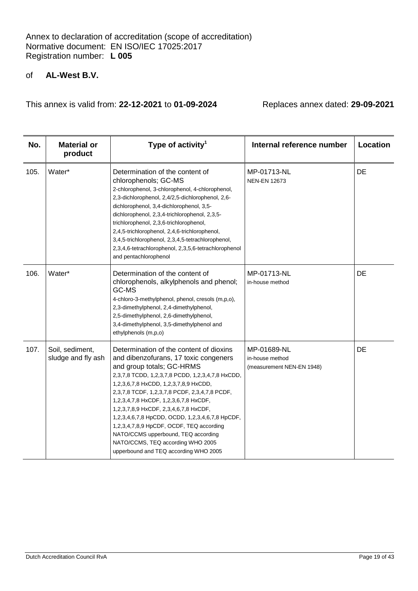# of **AL-West B.V.**

| No.  | <b>Material or</b><br>product         | Type of activity <sup>1</sup>                                                                                                                                                                                                                                                                                                                                                                                                                                                                                                                                     | Internal reference number                                   | Location |
|------|---------------------------------------|-------------------------------------------------------------------------------------------------------------------------------------------------------------------------------------------------------------------------------------------------------------------------------------------------------------------------------------------------------------------------------------------------------------------------------------------------------------------------------------------------------------------------------------------------------------------|-------------------------------------------------------------|----------|
| 105. | Water*                                | Determination of the content of<br>chlorophenols; GC-MS<br>2-chlorophenol, 3-chlorophenol, 4-chlorophenol,<br>2,3-dichlorophenol, 2,4/2,5-dichlorophenol, 2,6-<br>dichlorophenol, 3,4-dichlorophenol, 3,5-<br>dichlorophenol, 2,3,4-trichlorophenol, 2,3,5-<br>trichlorophenol, 2,3,6-trichlorophenol,<br>2,4,5-trichlorophenol, 2,4,6-trichlorophenol,<br>3,4,5-trichlorophenol, 2,3,4,5-tetrachlorophenol,<br>2,3,4,6-tetrachlorophenol, 2,3,5,6-tetrachlorophenol<br>and pentachlorophenol                                                                     | MP-01713-NL<br><b>NEN-EN 12673</b>                          | DE       |
| 106. | Water*                                | Determination of the content of<br>chlorophenols, alkylphenols and phenol;<br>GC-MS<br>4-chloro-3-methylphenol, phenol, cresols (m,p,o),<br>2,3-dimethylphenol, 2,4-dimethylphenol,<br>2,5-dimethylphenol, 2,6-dimethylphenol,<br>3,4-dimethylphenol, 3,5-dimethylphenol and<br>ethylphenols (m,p,o)                                                                                                                                                                                                                                                              | MP-01713-NL<br>in-house method                              | DE       |
| 107. | Soil, sediment,<br>sludge and fly ash | Determination of the content of dioxins<br>and dibenzofurans, 17 toxic congeners<br>and group totals; GC-HRMS<br>2,3,7,8 TCDD, 1,2,3,7,8 PCDD, 1,2,3,4,7,8 HxCDD,<br>1,2,3,6,7,8 HxCDD, 1,2,3,7,8,9 HxCDD,<br>2,3,7,8 TCDF, 1,2,3,7,8 PCDF, 2,3,4,7,8 PCDF,<br>1,2,3,4,7,8 HxCDF, 1,2,3,6,7,8 HxCDF,<br>1,2,3,7,8,9 HxCDF, 2,3,4,6,7,8 HxCDF,<br>1,2,3,4,6,7,8 HpCDD, OCDD, 1,2,3,4,6,7,8 HpCDF,<br>1,2,3,4,7,8,9 HpCDF, OCDF, TEQ according<br>NATO/CCMS upperbound, TEQ according<br>NATO/CCMS, TEQ according WHO 2005<br>upperbound and TEQ according WHO 2005 | MP-01689-NL<br>in-house method<br>(measurement NEN-EN 1948) | DE       |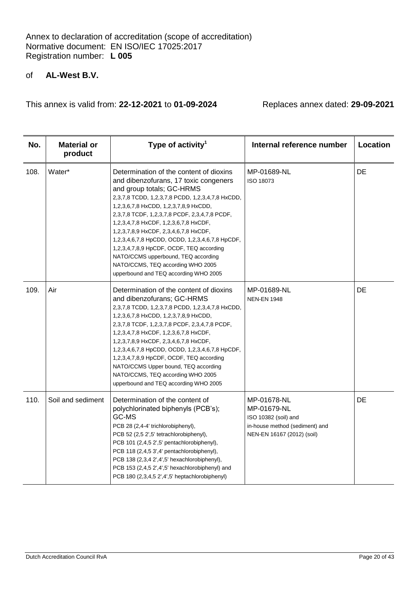# of **AL-West B.V.**

| No.  | <b>Material or</b><br>product | Type of activity <sup>1</sup>                                                                                                                                                                                                                                                                                                                                                                                                                                                                                                                                     | Internal reference number                                                                                          | Location |
|------|-------------------------------|-------------------------------------------------------------------------------------------------------------------------------------------------------------------------------------------------------------------------------------------------------------------------------------------------------------------------------------------------------------------------------------------------------------------------------------------------------------------------------------------------------------------------------------------------------------------|--------------------------------------------------------------------------------------------------------------------|----------|
| 108. | Water*                        | Determination of the content of dioxins<br>and dibenzofurans, 17 toxic congeners<br>and group totals; GC-HRMS<br>2,3,7,8 TCDD, 1,2,3,7,8 PCDD, 1,2,3,4,7,8 HxCDD,<br>1,2,3,6,7,8 HxCDD, 1,2,3,7,8,9 HxCDD,<br>2,3,7,8 TCDF, 1,2,3,7,8 PCDF, 2,3,4,7,8 PCDF,<br>1,2,3,4,7,8 HxCDF, 1,2,3,6,7,8 HxCDF,<br>1,2,3,7,8,9 HxCDF, 2,3,4,6,7,8 HxCDF,<br>1,2,3,4,6,7,8 HpCDD, OCDD, 1,2,3,4,6,7,8 HpCDF,<br>1,2,3,4,7,8,9 HpCDF, OCDF, TEQ according<br>NATO/CCMS upperbound, TEQ according<br>NATO/CCMS, TEQ according WHO 2005<br>upperbound and TEQ according WHO 2005 | MP-01689-NL<br>ISO 18073                                                                                           | DE       |
| 109. | Air                           | Determination of the content of dioxins<br>and dibenzofurans; GC-HRMS<br>2,3,7,8 TCDD, 1,2,3,7,8 PCDD, 1,2,3,4,7,8 HxCDD,<br>1,2,3,6,7,8 HxCDD, 1,2,3,7,8,9 HxCDD,<br>2,3,7,8 TCDF, 1,2,3,7,8 PCDF, 2,3,4,7,8 PCDF,<br>1,2,3,4,7,8 HxCDF, 1,2,3,6,7,8 HxCDF,<br>1,2,3,7,8,9 HxCDF, 2,3,4,6,7,8 HxCDF,<br>1,2,3,4,6,7,8 HpCDD, OCDD, 1,2,3,4,6,7,8 HpCDF,<br>1,2,3,4,7,8,9 HpCDF, OCDF, TEQ according<br>NATO/CCMS Upper bound, TEQ according<br>NATO/CCMS, TEQ according WHO 2005<br>upperbound and TEQ according WHO 2005                                        | MP-01689-NL<br><b>NEN-EN 1948</b>                                                                                  | DE       |
| 110. | Soil and sediment             | Determination of the content of<br>polychlorinated biphenyls (PCB's);<br>GC-MS<br>PCB 28 (2,4-4' trichlorobiphenyl),<br>PCB 52 (2,5 2',5' tetrachlorobiphenyl),<br>PCB 101 (2,4,5 2',5' pentachlorobiphenyl),<br>PCB 118 (2,4,5 3',4' pentachlorobiphenyl),<br>PCB 138 (2,3,4 2',4',5' hexachlorobiphenyl),<br>PCB 153 (2,4,5 2',4',5' hexachlorobiphenyl) and<br>PCB 180 (2,3,4,5 2',4',5' heptachlorobiphenyl)                                                                                                                                                  | MP-01678-NL<br>MP-01679-NL<br>ISO 10382 (soil) and<br>in-house method (sediment) and<br>NEN-EN 16167 (2012) (soil) | DE       |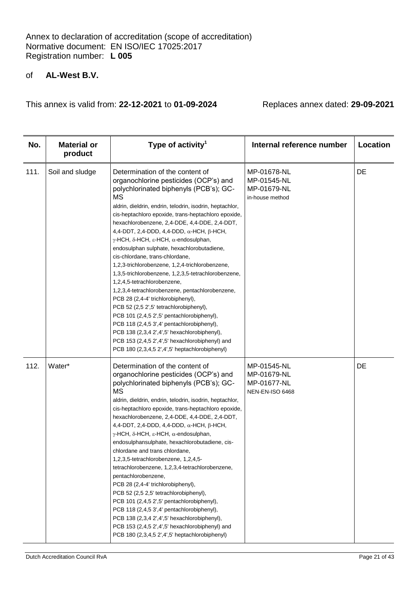# of **AL-West B.V.**

| No.  | <b>Material or</b><br>product | Type of activity <sup>1</sup>                                                                                                                                                                                                                                                                                                                                                                                                                                                                                                                                                                                                                                                                                                                                                                                                                                                                                                                                                                                                                   | Internal reference number                                    | Location |
|------|-------------------------------|-------------------------------------------------------------------------------------------------------------------------------------------------------------------------------------------------------------------------------------------------------------------------------------------------------------------------------------------------------------------------------------------------------------------------------------------------------------------------------------------------------------------------------------------------------------------------------------------------------------------------------------------------------------------------------------------------------------------------------------------------------------------------------------------------------------------------------------------------------------------------------------------------------------------------------------------------------------------------------------------------------------------------------------------------|--------------------------------------------------------------|----------|
| 111. | Soil and sludge               | Determination of the content of<br>organochlorine pesticides (OCP's) and<br>polychlorinated biphenyls (PCB's); GC-<br>MS<br>aldrin, dieldrin, endrin, telodrin, isodrin, heptachlor,<br>cis-heptachloro epoxide, trans-heptachloro epoxide,<br>hexachlorobenzene, 2,4-DDE, 4,4-DDE, 2,4-DDT,<br>4,4-DDT, 2,4-DDD, 4,4-DDD, $\alpha$ -HCH, $\beta$ -HCH,<br>$\gamma$ -HCH, $\delta$ -HCH, $\epsilon$ -HCH, $\alpha$ -endosulphan,<br>endosulphan sulphate, hexachlorobutadiene,<br>cis-chlordane, trans-chlordane,<br>1,2,3-trichlorobenzene, 1,2,4-trichlorobenzene,<br>1,3,5-trichlorobenzene, 1,2,3,5-tetrachlorobenzene,<br>1,2,4,5-tetrachlorobenzene,<br>1,2,3,4-tetrachlorobenzene, pentachlorobenzene,<br>PCB 28 (2,4-4' trichlorobiphenyl),<br>PCB 52 (2,5 2',5' tetrachlorobiphenyl),<br>PCB 101 (2,4,5 2',5' pentachlorobiphenyl),<br>PCB 118 (2,4,5 3',4' pentachlorobiphenyl),<br>PCB 138 (2,3,4 2',4',5' hexachlorobiphenyl),<br>PCB 153 (2,4,5 2',4',5' hexachlorobiphenyl) and<br>PCB 180 (2,3,4,5 2',4',5' heptachlorobiphenyl) | MP-01678-NL<br>MP-01545-NL<br>MP-01679-NL<br>in-house method | DE       |
| 112. | Water*                        | Determination of the content of<br>organochlorine pesticides (OCP's) and<br>polychlorinated biphenyls (PCB's); GC-<br><b>MS</b><br>aldrin, dieldrin, endrin, telodrin, isodrin, heptachlor,<br>cis-heptachloro epoxide, trans-heptachloro epoxide,<br>hexachlorobenzene, 2,4-DDE, 4,4-DDE, 2,4-DDT,<br>4,4-DDT, 2,4-DDD, 4,4-DDD, $\alpha$ -HCH, $\beta$ -HCH,<br>$\gamma$ -HCH, $\delta$ -HCH, $\epsilon$ -HCH, $\alpha$ -endosulphan,<br>endosulphansulphate, hexachlorobutadiene, cis-<br>chlordane and trans chlordane,<br>1,2,3,5-tetrachlorobenzene, 1,2,4,5-<br>tetrachlorobenzene, 1,2,3,4-tetrachlorobenzene,<br>pentachlorobenzene,<br>PCB 28 (2,4-4' trichlorobiphenyl),<br>PCB 52 (2,5 2,5' tetrachlorobiphenyl),<br>PCB 101 (2,4,5 2',5' pentachlorobiphenyl),<br>PCB 118 (2,4,5 3',4' pentachlorobiphenyl),<br>PCB 138 (2,3,4 2',4',5' hexachlorobiphenyl),<br>PCB 153 (2,4,5 2',4',5' hexachlorobiphenyl) and<br>PCB 180 (2,3,4,5 2',4',5' heptachlorobiphenyl)                                                                  | MP-01545-NL<br>MP-01679-NL<br>MP-01677-NL<br>NEN-EN-ISO 6468 | DE       |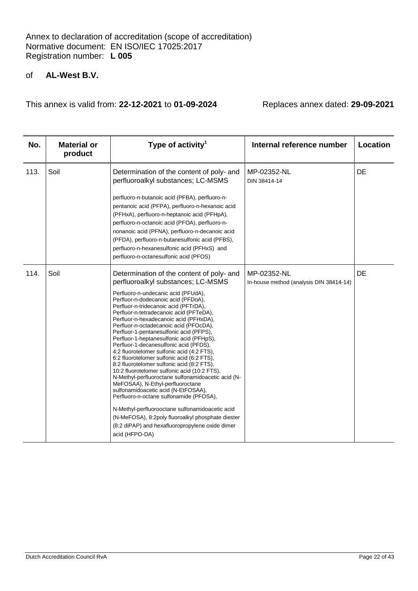# of **AL-West B.V.**

| No.  | <b>Material or</b><br>product | Type of activity <sup>1</sup>                                                                                                                                                                                                                                                                                                                                                                                                                                                                                                                                                                                                                                                                                                                                                                                                                                                                                                                                                                                             | Internal reference number                              | Location |
|------|-------------------------------|---------------------------------------------------------------------------------------------------------------------------------------------------------------------------------------------------------------------------------------------------------------------------------------------------------------------------------------------------------------------------------------------------------------------------------------------------------------------------------------------------------------------------------------------------------------------------------------------------------------------------------------------------------------------------------------------------------------------------------------------------------------------------------------------------------------------------------------------------------------------------------------------------------------------------------------------------------------------------------------------------------------------------|--------------------------------------------------------|----------|
| 113. | Soil                          | Determination of the content of poly- and<br>perfluoroalkyl substances; LC-MSMS<br>perfluoro-n-butanoic acid (PFBA), perfluoro-n-<br>pentanoic acid (PFPA), perfluoro-n-hexanoic acid<br>(PFHxA), perfluoro-n-heptanoic acid (PFHpA),<br>perfluoro-n-octanoic acid (PFOA), perfluoro-n-<br>nonanoic acid (PFNA), perfluoro-n-decanoic acid<br>(PFDA), perfluoro-n-butanesulfonic acid (PFBS),<br>perfluoro-n-hexanesulfonic acid (PFHxS) and<br>perfluoro-n-octanesulfonic acid (PFOS)                                                                                                                                                                                                                                                                                                                                                                                                                                                                                                                                    | MP-02352-NL<br>DIN 38414-14                            | DE       |
| 114. | Soil                          | Determination of the content of poly- and<br>perfluoroalkyl substances; LC-MSMS<br>Perfluoro-n-undecanic acid (PFUdA),<br>Perfluor-n-dodecanoic acid (PFDoA),<br>Perfluor-n-tridecanoic acid (PFTrDA),<br>Perfluor-n-tetradecanoic acid (PFTeDA),<br>Perfluor-n-hexadecanoic acid (PFHxDA),<br>Perfluor-n-octadecanoic acid (PFOcDA),<br>Perfluor-1-pentanesulfonic acid (PFPS),<br>Perfluor-1-heptanesulfonic acid (PFHpS),<br>Perfluor-1-decanesulfonic acid (PFDS),<br>4:2 fluorotelomer sulfonic acid (4:2 FTS),<br>6:2 fluorotelomer sulfonic acid (6:2 FTS),<br>8:2 fluorotelomer sulfonic acid (8:2 FTS),<br>10:2 fluorotelomer sulfonic acid (10:2 FTS),<br>N-Methyl-perfluoroctane sulfonamidoacetic acid (N-<br>MeFOSAA), N-Ethyl-perfluoroctane<br>sulfonamidoacetic acid (N-EtFOSAA),<br>Perfluoro-n-octane sulfonamide (PFOSA),<br>N-Methyl-perfluorooctane sulfonamidoacetic acid<br>(N-MeFOSA), 8:2poly fluoroalkyl phosphate diester<br>(8:2 diPAP) and hexafluoropropylene oxide dimer<br>acid (HFPO-DA) | MP-02352-NL<br>In-house method (analysis DIN 38414-14) | DE       |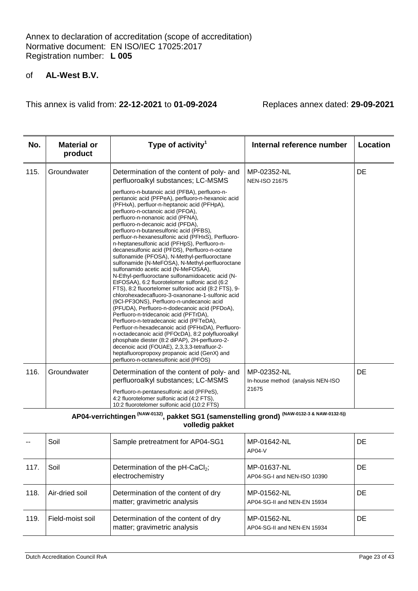This annex is valid from: **22-12-2021** to **01-09-2024** Replaces annex dated: **29-09-2021**

| No.  | <b>Material or</b><br>product | Type of activity <sup>1</sup>                                                                                                                                                                                                                                                                                                                                                                                                                                                                                                                                                                                                                                                                                                                                                                                                                                                                                                                                                                                                                                                                                                                                                                                                                                                                                                | Internal reference number                  | Location |
|------|-------------------------------|------------------------------------------------------------------------------------------------------------------------------------------------------------------------------------------------------------------------------------------------------------------------------------------------------------------------------------------------------------------------------------------------------------------------------------------------------------------------------------------------------------------------------------------------------------------------------------------------------------------------------------------------------------------------------------------------------------------------------------------------------------------------------------------------------------------------------------------------------------------------------------------------------------------------------------------------------------------------------------------------------------------------------------------------------------------------------------------------------------------------------------------------------------------------------------------------------------------------------------------------------------------------------------------------------------------------------|--------------------------------------------|----------|
| 115. | Groundwater                   | Determination of the content of poly- and<br>perfluoroalkyl substances; LC-MSMS                                                                                                                                                                                                                                                                                                                                                                                                                                                                                                                                                                                                                                                                                                                                                                                                                                                                                                                                                                                                                                                                                                                                                                                                                                              | MP-02352-NL<br><b>NEN-ISO 21675</b>        | DE       |
|      |                               | perfluoro-n-butanoic acid (PFBA), perfluoro-n-<br>pentanoic acid (PFPeA), perfluoro-n-hexanoic acid<br>(PFHxA), perfluor-n-heptanoic acid (PFHpA),<br>perfluoro-n-octanoic acid (PFOA),<br>perfluoro-n-nonanoic acid (PFNA),<br>perfluoro-n-decanoic acid (PFDA),<br>perfluoro-n-butanesulfonic acid (PFBS),<br>perfluor-n-hexanesulfonic acid (PFHxS), Perfluoro-<br>n-heptanesulfonic acid (PFHpS), Perfluoro-n-<br>decanesulfonic acid (PFDS), Perfluoro-n-octane<br>sulfonamide (PFOSA), N-Methyl-perfluoroctane<br>sulfonamide (N-MeFOSA), N-Methyl-perfluoroctane<br>sulfonamido acetic acid (N-MeFOSAA),<br>N-Ethyl-perfluoroctane sulfonamidoacetic acid (N-<br>EtFOSAA), 6:2 fluorotelomer sulfonic acid (6:2<br>FTS), 8:2 fluoortelomer sulfonioc acid (8:2 FTS), 9-<br>chlorohexadecafluoro-3-oxanonane-1-sulfonic acid<br>(9CI-PF3ONS), Perfluoro-n-undecanoic acid<br>(PFUDA), Perfluoro-n-dodecanoic acid (PFDoA),<br>Perfluoro-n-tridecanoic acid (PFTrDA),<br>Perfluoro-n-tetradecanoic acid (PFTeDA),<br>Perfluor-n-hexadecanoic acid (PFHxDA), Perfluoro-<br>n-octadecanoic acid (PFOcDA), 8:2 polyfluoroalkyl<br>phosphate diester (8:2 diPAP), 2H-perfluoro-2-<br>decenoic acid (FOUAE), 2,3,3,3-tetrafluor-2-<br>heptafluoropropoxy propanoic acid (GenX) and<br>perfluoro-n-octanesulfonic acid (PFOS) |                                            |          |
| 116. | Groundwater                   | Determination of the content of poly- and                                                                                                                                                                                                                                                                                                                                                                                                                                                                                                                                                                                                                                                                                                                                                                                                                                                                                                                                                                                                                                                                                                                                                                                                                                                                                    | MP-02352-NL                                | DE       |
|      |                               | perfluoroalkyl substances; LC-MSMS<br>Perfluoro-n-pentanesulfonic acid (PFPeS),                                                                                                                                                                                                                                                                                                                                                                                                                                                                                                                                                                                                                                                                                                                                                                                                                                                                                                                                                                                                                                                                                                                                                                                                                                              | In-house method (analysis NEN-ISO<br>21675 |          |
|      |                               | 4:2 fluorotelomer sulfonic acid (4:2 FTS),<br>10:2 fluorotelomer sulfonic acid (10:2 FTS)                                                                                                                                                                                                                                                                                                                                                                                                                                                                                                                                                                                                                                                                                                                                                                                                                                                                                                                                                                                                                                                                                                                                                                                                                                    |                                            |          |

# **AP04-verrichtingen (NAW-0132), pakket SG1 (samenstelling grond) (NAW-0132-3 & NAW-0132-5)) volledig pakket**

|      | Soil             | Sample pretreatment for AP04-SG1                                    | MP-01642-NL<br>$AP04-V$                    | DE. |
|------|------------------|---------------------------------------------------------------------|--------------------------------------------|-----|
| 117. | Soil             | Determination of the pH-CaCl <sub>2</sub> ;<br>electrochemistry     | MP-01637-NL<br>AP04-SG-I and NEN-ISO 10390 | DE. |
| 118. | Air-dried soil   | Determination of the content of dry<br>matter; gravimetric analysis | MP-01562-NL<br>AP04-SG-II and NEN-EN 15934 | DE. |
| 119. | Field-moist soil | Determination of the content of dry<br>matter; gravimetric analysis | MP-01562-NL<br>AP04-SG-II and NEN-EN 15934 | DE. |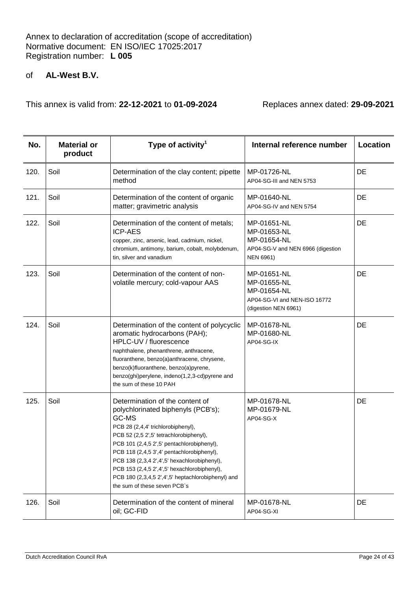| No.  | <b>Material or</b><br>product | Type of activity <sup>1</sup>                                                                                                                                                                                                                                                                                                                                                                                                                     | Internal reference number                                                                         | Location |
|------|-------------------------------|---------------------------------------------------------------------------------------------------------------------------------------------------------------------------------------------------------------------------------------------------------------------------------------------------------------------------------------------------------------------------------------------------------------------------------------------------|---------------------------------------------------------------------------------------------------|----------|
| 120. | Soil                          | Determination of the clay content; pipette<br>method                                                                                                                                                                                                                                                                                                                                                                                              | MP-01726-NL<br>AP04-SG-III and NEN 5753                                                           | DE       |
| 121. | Soil                          | Determination of the content of organic<br>matter; gravimetric analysis                                                                                                                                                                                                                                                                                                                                                                           | MP-01640-NL<br>AP04-SG-IV and NEN 5754                                                            | DE       |
| 122. | Soil                          | Determination of the content of metals;<br><b>ICP-AES</b><br>copper, zinc, arsenic, lead, cadmium, nickel,<br>chromium, antimony, barium, cobalt, molybdenum,<br>tin, silver and vanadium                                                                                                                                                                                                                                                         | MP-01651-NL<br>MP-01653-NL<br>MP-01654-NL<br>AP04-SG-V and NEN 6966 (digestion<br>NEN 6961)       | DE       |
| 123. | Soil                          | Determination of the content of non-<br>volatile mercury; cold-vapour AAS                                                                                                                                                                                                                                                                                                                                                                         | MP-01651-NL<br>MP-01655-NL<br>MP-01654-NL<br>AP04-SG-VI and NEN-ISO 16772<br>(digestion NEN 6961) | DE       |
| 124. | Soil                          | Determination of the content of polycyclic<br>aromatic hydrocarbons (PAH);<br>HPLC-UV / fluorescence<br>naphthalene, phenanthrene, anthracene,<br>fluoranthene, benzo(a)anthracene, chrysene,<br>benzo(k)fluoranthene, benzo(a)pyrene,<br>benzo(ghi)perylene, indeno(1,2,3-cd)pyrene and<br>the sum of these 10 PAH                                                                                                                               | MP-01678-NL<br>MP-01680-NL<br>AP04-SG-IX                                                          | DE       |
| 125. | Soil                          | Determination of the content of<br>polychlorinated biphenyls (PCB's);<br>GC-MS<br>PCB 28 (2,4,4' trichlorobiphenyl),<br>PCB 52 (2,5 2',5' tetrachlorobiphenyl),<br>PCB 101 (2,4,5 2',5' pentachlorobiphenyl),<br>PCB 118 (2,4,5 3',4' pentachlorobiphenyl),<br>PCB 138 (2,3,4 2',4',5' hexachlorobiphenyl),<br>PCB 153 (2,4,5 2',4',5' hexachlorobiphenyl),<br>PCB 180 (2,3,4,5 2',4',5' heptachlorobiphenyl) and<br>the sum of these seven PCB's | MP-01678-NL<br>MP-01679-NL<br>AP04-SG-X                                                           | DE       |
| 126. | Soil                          | Determination of the content of mineral<br>oil; GC-FID                                                                                                                                                                                                                                                                                                                                                                                            | MP-01678-NL<br>AP04-SG-XI                                                                         | DE       |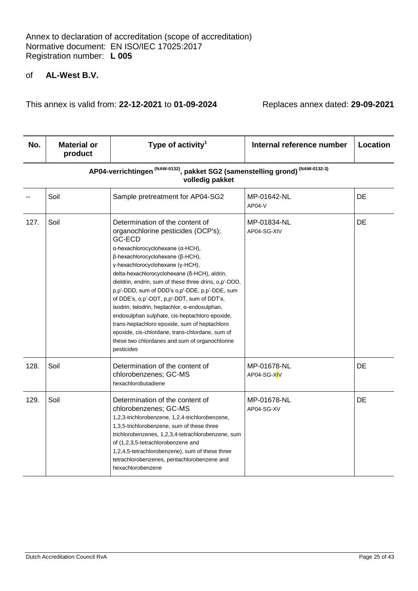| No.  | <b>Material or</b><br>product | Type of activity <sup>1</sup>                                                                                                                                                                                                                                                                                                                                                                                                                                                                                                                                                                                                                                                               | Internal reference number  | Location |
|------|-------------------------------|---------------------------------------------------------------------------------------------------------------------------------------------------------------------------------------------------------------------------------------------------------------------------------------------------------------------------------------------------------------------------------------------------------------------------------------------------------------------------------------------------------------------------------------------------------------------------------------------------------------------------------------------------------------------------------------------|----------------------------|----------|
|      |                               | AP04-verrichtingen <sup>(NAW-0132)</sup> , pakket SG2 (samenstelling grond) <sup>(NAW-0132-3)</sup><br>volledig pakket                                                                                                                                                                                                                                                                                                                                                                                                                                                                                                                                                                      |                            |          |
|      | Soil                          | Sample pretreatment for AP04-SG2                                                                                                                                                                                                                                                                                                                                                                                                                                                                                                                                                                                                                                                            | MP-01642-NL<br>AP04-V      | DE       |
| 127. | Soil                          | Determination of the content of<br>organochlorine pesticides (OCP's);<br>GC-ECD<br>α-hexachlorocyclohexane (α-HCH),<br>$\beta$ -hexachlorocyclohexane ( $\beta$ -HCH),<br>γ-hexachlorocyclohexane (γ-HCH),<br>delta-hexachlorocyclohexane (δ-HCH), aldrin,<br>dieldrin, endrin, sum of these three drins, o,p'-DDD,<br>p,p'-DDD, sum of DDD's o,p'-DDE, p,p'-DDE, sum<br>of DDE's, o,p'-DDT, p,p'-DDT, sum of DDT's,<br>isodrin, telodrin, heptachlor, α-endosulphan,<br>endosulphan sulphate, cis-heptachloro epoxide,<br>trans-heptachloro epoxide, sum of heptachloro<br>epoxide, cis-chlordane, trans-chlordane, sum of<br>these two chlordanes and sum of organochlorine<br>pesticides | MP-01834-NL<br>AP04-SG-XIV | DE       |
| 128. | Soil                          | Determination of the content of<br>chlorobenzenes; GC-MS<br>hexachlorobutadiene                                                                                                                                                                                                                                                                                                                                                                                                                                                                                                                                                                                                             | MP-01678-NL<br>AP04-SG-XIV | DE       |
| 129. | Soil                          | Determination of the content of<br>chlorobenzenes; GC-MS<br>1,2,3-trichlorobenzene, 1,2,4-trichlorobenzene,<br>1,3,5-trichlorobenzene, sum of these three<br>trichlorobenzenes, 1,2,3,4-tetrachlorobenzene, sum<br>of (1,2,3,5-tetrachlorobenzene and<br>1,2,4,5-tetrachlorobenzene), sum of these three<br>tetrachlorobenzenes, pentachlorobenzene and<br>hexachlorobenzene                                                                                                                                                                                                                                                                                                                | MP-01678-NL<br>AP04-SG-XV  | DE       |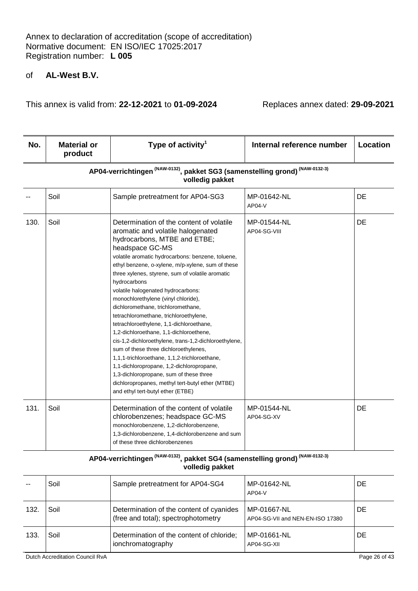This annex is valid from: **22-12-2021** to **01-09-2024** Replaces annex dated: **29-09-2021**

| No.  | <b>Material or</b><br>product                                                                                          | Type of activity <sup>1</sup>                                                                                                                                                                                                                                                                                                                                                                                                                                                                                                                                                                                                                                                                                                                                                                                                                                                                          | Internal reference number    | Location |  |
|------|------------------------------------------------------------------------------------------------------------------------|--------------------------------------------------------------------------------------------------------------------------------------------------------------------------------------------------------------------------------------------------------------------------------------------------------------------------------------------------------------------------------------------------------------------------------------------------------------------------------------------------------------------------------------------------------------------------------------------------------------------------------------------------------------------------------------------------------------------------------------------------------------------------------------------------------------------------------------------------------------------------------------------------------|------------------------------|----------|--|
|      | AP04-verrichtingen <sup>(NAW-0132)</sup> , pakket SG3 (samenstelling grond) <sup>(NAW-0132-3)</sup><br>volledig pakket |                                                                                                                                                                                                                                                                                                                                                                                                                                                                                                                                                                                                                                                                                                                                                                                                                                                                                                        |                              |          |  |
|      | Soil                                                                                                                   | Sample pretreatment for AP04-SG3                                                                                                                                                                                                                                                                                                                                                                                                                                                                                                                                                                                                                                                                                                                                                                                                                                                                       | MP-01642-NL<br><b>AP04-V</b> | DE       |  |
| 130. | Soil                                                                                                                   | Determination of the content of volatile<br>aromatic and volatile halogenated<br>hydrocarbons, MTBE and ETBE;<br>headspace GC-MS<br>volatile aromatic hydrocarbons: benzene, toluene,<br>ethyl benzene, o-xylene, m/p-xylene, sum of these<br>three xylenes, styrene, sum of volatile aromatic<br>hydrocarbons<br>volatile halogenated hydrocarbons:<br>monochlorethylene (vinyl chloride),<br>dichloromethane, trichloromethane,<br>tetrachloromethane, trichloroethylene,<br>tetrachloroethylene, 1,1-dichloroethane,<br>1,2-dichloroethane, 1,1-dichloroethene,<br>cis-1,2-dichloroethylene, trans-1,2-dichloroethylene,<br>sum of these three dichloroethylenes,<br>1,1,1-trichloroethane, 1,1,2-trichloroethane,<br>1,1-dichloropropane, 1,2-dichloropropane,<br>1,3-dichloropropane, sum of these three<br>dichloropropanes, methyl tert-butyl ether (MTBE)<br>and ethyl tert-butyl ether (ETBE) | MP-01544-NL<br>AP04-SG-VIII  | DE       |  |
| 131. | Soil                                                                                                                   | Determination of the content of volatile<br>chlorobenzenes; headspace GC-MS<br>monochlorobenzene, 1,2-dichlorobenzene,<br>1,3-dichlorobenzene, 1,4-dichlorobenzene and sum<br>of these three dichlorobenzenes                                                                                                                                                                                                                                                                                                                                                                                                                                                                                                                                                                                                                                                                                          | MP-01544-NL<br>AP04-SG-XV    | DE       |  |

# **AP04-verrichtingen (NAW-0132), pakket SG4 (samenstelling grond) (NAW-0132-3) volledig pakket**

|      | Soil | Sample pretreatment for AP04-SG4                                                | MP-01642-NL<br>$AP04-V$                         | DE        |
|------|------|---------------------------------------------------------------------------------|-------------------------------------------------|-----------|
| 132. | Soil | Determination of the content of cyanides<br>(free and total); spectrophotometry | MP-01667-NL<br>AP04-SG-VII and NEN-EN-ISO 17380 | <b>DE</b> |
| 133. | Soil | Determination of the content of chloride;<br>ionchromatography                  | MP-01661-NL<br>AP04-SG-XII                      | <b>DE</b> |

Dutch Accreditation Council RvA Page 26 of 43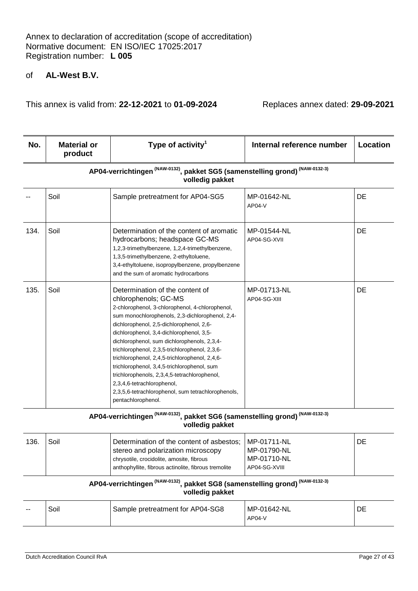This annex is valid from: **22-12-2021** to **01-09-2024** Replaces annex dated: **29-09-2021**

| No.  | <b>Material or</b><br>product                                                                                          | Type of activity <sup>1</sup>                                                                                                                                                                                                                                                                                                                                                                                                                                                                                                                                                                                     | Internal reference number    | Location |  |
|------|------------------------------------------------------------------------------------------------------------------------|-------------------------------------------------------------------------------------------------------------------------------------------------------------------------------------------------------------------------------------------------------------------------------------------------------------------------------------------------------------------------------------------------------------------------------------------------------------------------------------------------------------------------------------------------------------------------------------------------------------------|------------------------------|----------|--|
|      | AP04-verrichtingen <sup>(NAW-0132)</sup> , pakket SG5 (samenstelling grond) <sup>(NAW-0132-3)</sup><br>volledig pakket |                                                                                                                                                                                                                                                                                                                                                                                                                                                                                                                                                                                                                   |                              |          |  |
|      | Soil                                                                                                                   | Sample pretreatment for AP04-SG5                                                                                                                                                                                                                                                                                                                                                                                                                                                                                                                                                                                  | MP-01642-NL<br><b>AP04-V</b> | DE       |  |
| 134. | Soil                                                                                                                   | Determination of the content of aromatic<br>hydrocarbons; headspace GC-MS<br>1,2,3-trimethylbenzene, 1,2,4-trimethylbenzene,<br>1,3,5-trimethylbenzene, 2-ethyltoluene,<br>3,4-ethyltoluene, isopropylbenzene, propylbenzene<br>and the sum of aromatic hydrocarbons                                                                                                                                                                                                                                                                                                                                              | MP-01544-NL<br>AP04-SG-XVII  | DE       |  |
| 135. | Soil                                                                                                                   | Determination of the content of<br>chlorophenols; GC-MS<br>2-chlorophenol, 3-chlorophenol, 4-chlorophenol,<br>sum monochlorophenols, 2,3-dichlorophenol, 2,4-<br>dichlorophenol, 2,5-dichlorophenol, 2,6-<br>dichlorophenol, 3,4-dichlorophenol, 3,5-<br>dichlorophenol, sum dichlorophenols, 2,3,4-<br>trichlorophenol, 2,3,5-trichlorophenol, 2,3,6-<br>trichlorophenol, 2,4,5-trichlorophenol, 2,4,6-<br>trichlorophenol, 3,4,5-trichlorophenol, sum<br>trichlorophenols, 2,3,4,5-tetrachlorophenol,<br>2,3,4,6-tetrachlorophenol,<br>2,3,5,6-tetrachlorophenol, sum tetrachlorophenols,<br>pentachlorophenol. | MP-01713-NL<br>AP04-SG-XIII  | DE       |  |

# **AP04-verrichtingen (NAW-0132), pakket SG6 (samenstelling grond) (NAW-0132-3) volledig pakket**

| 136. | Soil | Determination of the content of asbestos; MP-01711-NL<br>stereo and polarization microscopy       | l MP-01790-NL                  | DE |
|------|------|---------------------------------------------------------------------------------------------------|--------------------------------|----|
|      |      | chrysotile, crocidolite, amosite, fibrous<br>anthophyllite, fibrous actinolite, fibrous tremolite | l MP-01710-NL<br>AP04-SG-XVIII |    |

# **AP04-verrichtingen (NAW-0132), pakket SG8 (samenstelling grond) (NAW-0132-3) volledig pakket**

| $- -$ | Soil | Sample pretreatment for AP04-SG8 | MP-01642-NL<br>$AP04-V$ |  |
|-------|------|----------------------------------|-------------------------|--|
|-------|------|----------------------------------|-------------------------|--|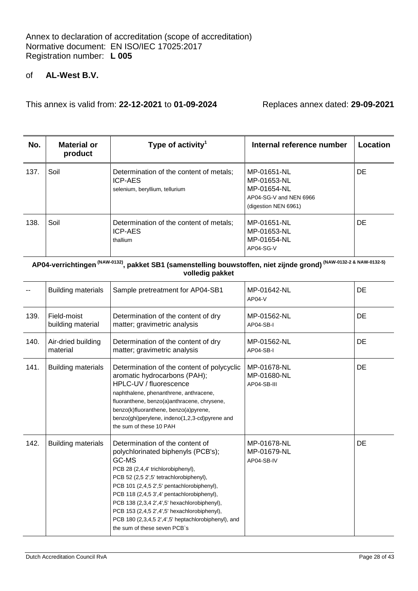This annex is valid from: **22-12-2021** to **01-09-2024** Replaces annex dated: **29-09-2021**

| No.  | <b>Material or</b><br>product | Type of activity <sup>1</sup>                                                               | Internal reference number                                                                   | Location |
|------|-------------------------------|---------------------------------------------------------------------------------------------|---------------------------------------------------------------------------------------------|----------|
| 137. | Soil                          | Determination of the content of metals;<br><b>ICP-AES</b><br>selenium, beryllium, tellurium | MP-01651-NL<br>MP-01653-NL<br>MP-01654-NL<br>AP04-SG-V and NEN 6966<br>(digestion NEN 6961) | DE.      |
| 138. | Soil                          | Determination of the content of metals;<br><b>ICP-AES</b><br>thallium                       | MP-01651-NL<br>MP-01653-NL<br>MP-01654-NL<br>AP04-SG-V                                      | DE.      |

## **AP04-verrichtingen (NAW-0132), pakket SB1 (samenstelling bouwstoffen, niet zijnde grond) (NAW-0132-2 & NAW-0132-5) volledig pakket**

|      | <b>Building materials</b>        | Sample pretreatment for AP04-SB1                                                                                                                                                                                                                                                                                                                                                                                                                   | MP-01642-NL<br>$AP04-V$                   | DE        |
|------|----------------------------------|----------------------------------------------------------------------------------------------------------------------------------------------------------------------------------------------------------------------------------------------------------------------------------------------------------------------------------------------------------------------------------------------------------------------------------------------------|-------------------------------------------|-----------|
| 139. | Field-moist<br>building material | Determination of the content of dry<br>matter; gravimetric analysis                                                                                                                                                                                                                                                                                                                                                                                | MP-01562-NL<br>AP04-SB-I                  | <b>DE</b> |
| 140. | Air-dried building<br>material   | Determination of the content of dry<br>matter; gravimetric analysis                                                                                                                                                                                                                                                                                                                                                                                | MP-01562-NL<br>AP04-SB-I                  | DE        |
| 141. | <b>Building materials</b>        | Determination of the content of polycyclic<br>aromatic hydrocarbons (PAH);<br>HPLC-UV / fluorescence<br>naphthalene, phenanthrene, anthracene,<br>fluoranthene, benzo(a)anthracene, chrysene,<br>benzo(k)fluoranthene, benzo(a)pyrene,<br>benzo(ghi)perylene, indeno(1,2,3-cd)pyrene and<br>the sum of these 10 PAH                                                                                                                                | MP-01678-NL<br>MP-01680-NL<br>AP04-SB-III | <b>DE</b> |
| 142. | <b>Building materials</b>        | Determination of the content of<br>polychlorinated biphenyls (PCB's);<br>GC-MS<br>PCB 28 (2,4,4' trichlorobiphenyl),<br>PCB 52 (2,5 2',5' tetrachlorobiphenyl),<br>PCB 101 (2,4,5 2',5' pentachlorobiphenyl),<br>PCB 118 (2,4,5 3',4' pentachlorobiphenyl),<br>PCB 138 (2,3,4 2',4',5' hexachlorobiphenyl),<br>PCB 153 (2,4,5 2',4',5' hexachlorobiphenyl),<br>PCB 180 (2,3,4,5 2',4',5' heptachlorobiphenyl), and<br>the sum of these seven PCB's | MP-01678-NL<br>MP-01679-NL<br>AP04-SB-IV  | <b>DE</b> |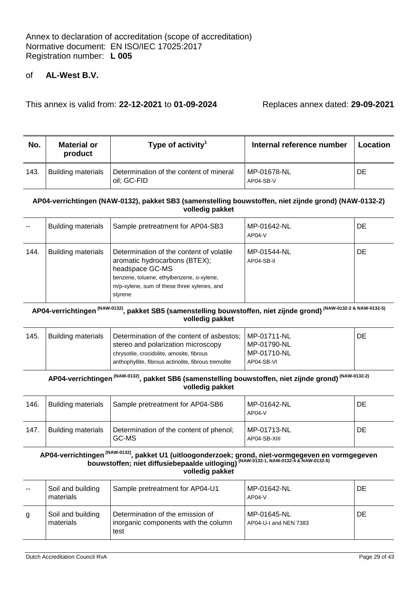This annex is valid from: **22-12-2021** to **01-09-2024** Replaces annex dated: **29-09-2021**

| No.  | <b>Material or</b><br>product | Type of activity $^1$                                  | Internal reference number | Location |
|------|-------------------------------|--------------------------------------------------------|---------------------------|----------|
| 143. | <b>Building materials</b>     | Determination of the content of mineral<br>oil: GC-FID | MP-01678-NL<br>AP04-SB-V  | DE       |

#### **AP04-verrichtingen (NAW-0132), pakket SB3 (samenstelling bouwstoffen, niet zijnde grond) (NAW-0132-2) volledig pakket**

| $-$  | <b>Building materials</b> | Sample pretreatment for AP04-SB3                                                                                                                                                                    | MP-01642-NL<br>$AP04-V$   | DE |
|------|---------------------------|-----------------------------------------------------------------------------------------------------------------------------------------------------------------------------------------------------|---------------------------|----|
| 144. | <b>Building materials</b> | Determination of the content of volatile<br>aromatic hydrocarbons (BTEX);<br>headspace GC-MS<br>benzene, toluene, ethylbenzene, o-xylene,<br>m/p-xylene, sum of these three xylenes, and<br>styrene | MP-01544-NL<br>AP04-SB-II | DE |

## **AP04-verrichtingen (NAW-0132), pakket SB5 (samenstelling bouwstoffen, niet zijnde grond) (NAW-0132-2 & NAW-0132-5) volledig pakket**

| 145.<br><b>Building materials</b> | stereo and polarization microscopy<br>chrysotile, crocidolite, amosite, fibrous<br>anthophyllite, fibrous actinolite, fibrous tremolite | MP-01790-NL<br>MP-01710-NL<br>AP04-SB-VI |  |
|-----------------------------------|-----------------------------------------------------------------------------------------------------------------------------------------|------------------------------------------|--|
|                                   |                                                                                                                                         |                                          |  |

## **AP04-verrichtingen (NAW-0132), pakket SB6 (samenstelling bouwstoffen, niet zijnde grond) (NAW-0132-2) volledig pakket**

| 146. | <b>Building materials</b> | Sample pretreatment for AP04-SB6                 | MP-01642-NL<br>$AP04-V$     | DE |
|------|---------------------------|--------------------------------------------------|-----------------------------|----|
| 147. | <b>Building materials</b> | Determination of the content of phenol;<br>GC-MS | MP-01713-NL<br>AP04-SB-XIII | DE |

#### **AP04-verrichtingen (NAW-0132), pakket U1 (uitloogonderzoek; grond, niet-vormgegeven en vormgegeven bouwstoffen; niet diffusiebepaalde uitloging) (NAW-0132-1, NAW-0132-4 & NAW-0132-5) volledig pakket**

| $ -$ | Soil and building<br>materials | Sample pretreatment for AP04-U1                                                  | MP-01642-NL<br>$AP04-V$              | DE |
|------|--------------------------------|----------------------------------------------------------------------------------|--------------------------------------|----|
| g    | Soil and building<br>materials | Determination of the emission of<br>inorganic components with the column<br>test | MP-01645-NL<br>AP04-U-I and NEN 7383 | DE |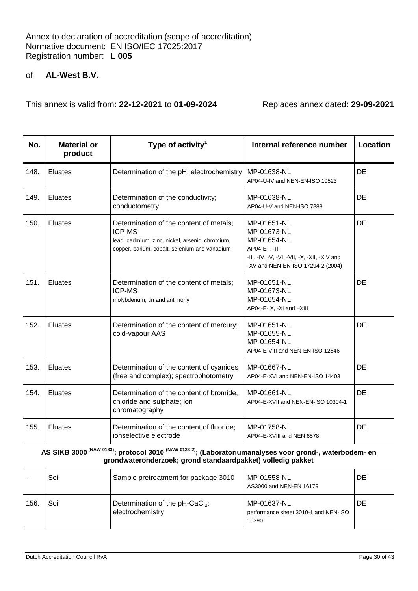This annex is valid from: **22-12-2021** to **01-09-2024** Replaces annex dated: **29-09-2021**

| No.  | <b>Material or</b><br>product | Type of activity <sup>1</sup>                                                                                                                         | Internal reference number                                                                                                                        | Location  |
|------|-------------------------------|-------------------------------------------------------------------------------------------------------------------------------------------------------|--------------------------------------------------------------------------------------------------------------------------------------------------|-----------|
| 148. | Eluates                       | Determination of the pH; electrochemistry                                                                                                             | MP-01638-NL<br>AP04-U-IV and NEN-EN-ISO 10523                                                                                                    | <b>DE</b> |
| 149. | Eluates                       | Determination of the conductivity;<br>conductometry                                                                                                   | MP-01638-NL<br>AP04-U-V and NEN-ISO 7888                                                                                                         | DE        |
| 150. | Eluates                       | Determination of the content of metals;<br>ICP-MS<br>lead, cadmium, zinc, nickel, arsenic, chromium,<br>copper, barium, cobalt, selenium and vanadium | MP-01651-NL<br>MP-01673-NL<br>MP-01654-NL<br>AP04-E-I, -II,<br>-III, -IV, -V, -VI, -VII, -X, -XII, -XIV and<br>-XV and NEN-EN-ISO 17294-2 (2004) | DE        |
| 151. | Eluates                       | Determination of the content of metals;<br><b>ICP-MS</b><br>molybdenum, tin and antimony                                                              | MP-01651-NL<br>MP-01673-NL<br>MP-01654-NL<br>AP04-E-IX, -XI and -XIII                                                                            | DE        |
| 152. | <b>Eluates</b>                | Determination of the content of mercury;<br>cold-vapour AAS                                                                                           | MP-01651-NL<br>MP-01655-NL<br>MP-01654-NL<br>AP04-E-VIII and NEN-EN-ISO 12846                                                                    | DE        |
| 153. | Eluates                       | Determination of the content of cyanides<br>(free and complex); spectrophotometry                                                                     | MP-01667-NL<br>AP04-E-XVI and NEN-EN-ISO 14403                                                                                                   | DE        |
| 154. | <b>Eluates</b>                | Determination of the content of bromide,<br>chloride and sulphate; ion<br>chromatography                                                              | MP-01661-NL<br>AP04-E-XVII and NEN-EN-ISO 10304-1                                                                                                | DE        |
| 155. | <b>Eluates</b>                | Determination of the content of fluoride;<br>ionselective electrode                                                                                   | MP-01758-NL<br>AP04-E-XVIII and NEN 6578                                                                                                         | DE        |

**AS SIKB 3000 (NAW-0133); protocol 3010 (NAW-0133-2); (Laboratoriumanalyses voor grond-, waterbodem- en grondwateronderzoek; grond standaardpakket) volledig pakket**

|      | Soil | Sample pretreatment for package 3010                            | MP-01558-NL<br>AS3000 and NEN-EN 16179                       | DE |
|------|------|-----------------------------------------------------------------|--------------------------------------------------------------|----|
| 156. | Soil | Determination of the pH-CaCl <sub>2</sub> ;<br>electrochemistry | MP-01637-NL<br>performance sheet 3010-1 and NEN-ISO<br>10390 | DE |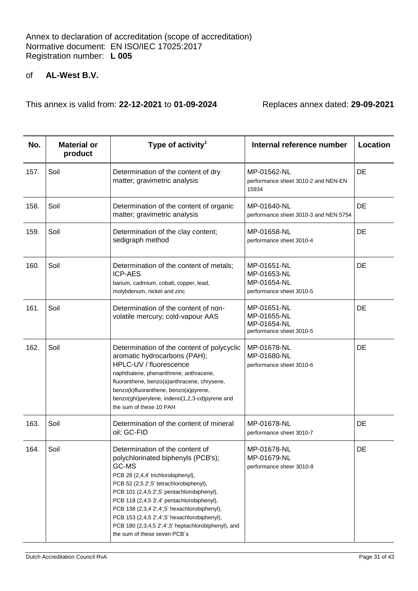| No.  | <b>Material or</b><br>product | Type of activity <sup>1</sup>                                                                                                                                                                                                                                                                                                                                                                                                                      | Internal reference number                                             | Location |
|------|-------------------------------|----------------------------------------------------------------------------------------------------------------------------------------------------------------------------------------------------------------------------------------------------------------------------------------------------------------------------------------------------------------------------------------------------------------------------------------------------|-----------------------------------------------------------------------|----------|
| 157. | Soil                          | Determination of the content of dry<br>matter; gravimetric analysis                                                                                                                                                                                                                                                                                                                                                                                | MP-01562-NL<br>performance sheet 3010-2 and NEN-EN<br>15934           | DE       |
| 158. | Soil                          | Determination of the content of organic<br>matter; gravimetric analysis                                                                                                                                                                                                                                                                                                                                                                            | MP-01640-NL<br>performance sheet 3010-3 and NEN 5754                  | DE       |
| 159. | Soil                          | Determination of the clay content;<br>sedigraph method                                                                                                                                                                                                                                                                                                                                                                                             | MP-01658-NL<br>performance sheet 3010-4                               | DE       |
| 160. | Soil                          | Determination of the content of metals;<br><b>ICP-AES</b><br>barium, cadmium, cobalt, copper, lead,<br>molybdenum, nickel and zinc                                                                                                                                                                                                                                                                                                                 | MP-01651-NL<br>MP-01653-NL<br>MP-01654-NL<br>performance sheet 3010-5 | DE       |
| 161. | Soil                          | Determination of the content of non-<br>volatile mercury; cold-vapour AAS                                                                                                                                                                                                                                                                                                                                                                          | MP-01651-NL<br>MP-01655-NL<br>MP-01654-NL<br>performance sheet 3010-5 | DE       |
| 162. | Soil                          | Determination of the content of polycyclic<br>aromatic hydrocarbons (PAH);<br>HPLC-UV / fluorescence<br>naphthalene, phenanthrene, anthracene,<br>fluoranthene, benzo(a)anthracene, chrysene,<br>benzo(k)fluoranthene, benzo(a)pyrene,<br>benzo(ghi)perylene, indeno(1,2,3-cd)pyrene and<br>the sum of these 10 PAH                                                                                                                                | MP-01678-NL<br>MP-01680-NL<br>performance sheet 3010-6                | DE       |
| 163. | Soil                          | Determination of the content of mineral<br>oil; GC-FID                                                                                                                                                                                                                                                                                                                                                                                             | MP-01678-NL<br>performance sheet 3010-7                               | DE       |
| 164. | Soil                          | Determination of the content of<br>polychlorinated biphenyls (PCB's);<br>GC-MS<br>PCB 28 (2,4,4' trichlorobiphenyl),<br>PCB 52 (2,5 2',5' tetrachlorobiphenyl),<br>PCB 101 (2,4,5 2',5' pentachlorobiphenyl),<br>PCB 118 (2,4,5 3',4' pentachlorobiphenyl),<br>PCB 138 (2,3,4 2',4',5' hexachlorobiphenyl),<br>PCB 153 (2,4,5 2',4',5' hexachlorobiphenyl),<br>PCB 180 (2,3,4,5 2',4',5' heptachlorobiphenyl), and<br>the sum of these seven PCB's | MP-01678-NL<br>MP-01679-NL<br>performance sheer 3010-8                | DE       |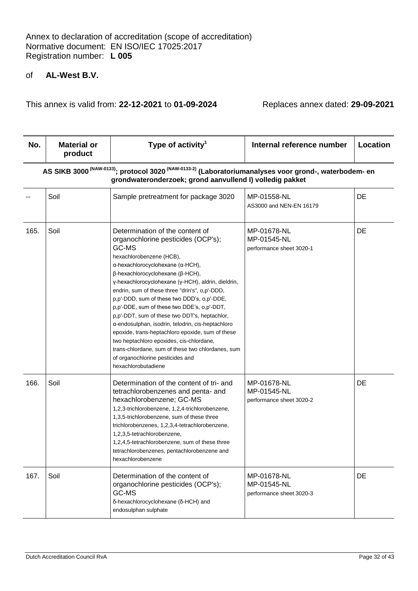| No.  | <b>Material or</b><br>product | Type of activity <sup>1</sup>                                                                                                                                                                                                                                                                                                                                                                                                                                                                                                                                                                                                                                                                                                 | Internal reference number                              | Location |
|------|-------------------------------|-------------------------------------------------------------------------------------------------------------------------------------------------------------------------------------------------------------------------------------------------------------------------------------------------------------------------------------------------------------------------------------------------------------------------------------------------------------------------------------------------------------------------------------------------------------------------------------------------------------------------------------------------------------------------------------------------------------------------------|--------------------------------------------------------|----------|
|      |                               | AS SIKB 3000 <sup>(NAW-0133)</sup> ; protocol 3020 <sup>(NAW-0133-2)</sup> (Laboratoriumanalyses voor grond-, waterbodem- en<br>grondwateronderzoek; grond aanvullend I) volledig pakket                                                                                                                                                                                                                                                                                                                                                                                                                                                                                                                                      |                                                        |          |
|      | Soil                          | Sample pretreatment for package 3020                                                                                                                                                                                                                                                                                                                                                                                                                                                                                                                                                                                                                                                                                          | MP-01558-NL<br>AS3000 and NEN-EN 16179                 | DE       |
| 165. | Soil                          | Determination of the content of<br>organochlorine pesticides (OCP's);<br>GC-MS<br>hexachlorobenzene (HCB),<br>α-hexachlorocyclohexane (α-HCH),<br>$\beta$ -hexachlorocyclohexane ( $\beta$ -HCH),<br>γ-hexachlorocyclohexane (γ-HCH), aldrin, dieldrin,<br>endrin, sum of these three "drin's", o,p'-DDD,<br>p,p'-DDD, sum of these two DDD's, o,p'-DDE,<br>p,p'-DDE, sum of these two DDE's, o,p'-DDT,<br>p,p'-DDT, sum of these two DDT's, heptachlor,<br>a-endosulphan, isodrin, telodrin, cis-heptachloro<br>epoxide, trans-heptachloro epoxide, sum of these<br>two heptachloro epoxides, cis-chlordane,<br>trans-chlordane, sum of these two chlordanes, sum<br>of organochlorine pesticides and<br>hexachlorobutadiene | MP-01678-NL<br>MP-01545-NL<br>performance sheet 3020-1 | DE       |
| 166. | Soil                          | Determination of the content of tri- and<br>tetrachlorobenzenes and penta- and<br>hexachlorobenzene; GC-MS<br>1,2,3-trichlorobenzene, 1,2,4-trichlorobenzene,<br>1,3,5-trichlorobenzene, sum of these three<br>trichlorobenzenes, 1,2,3,4-tetrachlorobenzene,<br>1,2,3,5-tetrachlorobenzene,<br>1,2,4,5-tetrachlorobenzene, sum of these three<br>tetrachlorobenzenes, pentachlorobenzene and<br>hexachlorobenzene                                                                                                                                                                                                                                                                                                            | MP-01678-NL<br>MP-01545-NL<br>performance sheet 3020-2 | DE       |
| 167. | Soil                          | Determination of the content of<br>organochlorine pesticides (OCP's);<br>GC-MS<br>δ-hexachlorocyclohexane (δ-HCH) and<br>endosulphan sulphate                                                                                                                                                                                                                                                                                                                                                                                                                                                                                                                                                                                 | MP-01678-NL<br>MP-01545-NL<br>performance sheet 3020-3 | DE       |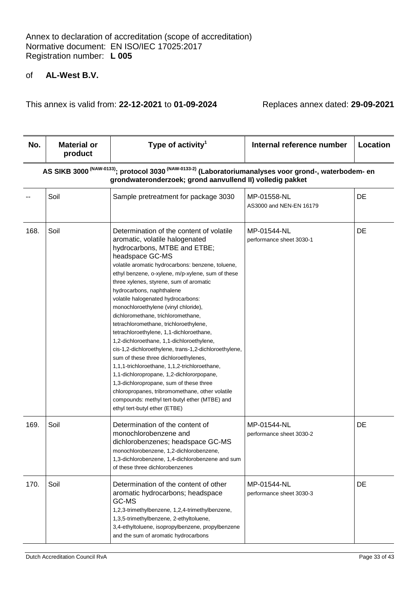| No.  | <b>Material or</b><br>product | Type of activity <sup>1</sup>                                                                                                                                                                                                                                                                                                                                                                                                                                                                                                                                                                                                                                                                                                                                                                                                                                                                                                                          | Internal reference number               | Location |
|------|-------------------------------|--------------------------------------------------------------------------------------------------------------------------------------------------------------------------------------------------------------------------------------------------------------------------------------------------------------------------------------------------------------------------------------------------------------------------------------------------------------------------------------------------------------------------------------------------------------------------------------------------------------------------------------------------------------------------------------------------------------------------------------------------------------------------------------------------------------------------------------------------------------------------------------------------------------------------------------------------------|-----------------------------------------|----------|
|      |                               | AS SIKB 3000 <sup>(NAW-0133)</sup> ; protocol 3030 <sup>(NAW-0133-2)</sup> (Laboratoriumanalyses voor grond-, waterbodem- en<br>grondwateronderzoek; grond aanvullend II) volledig pakket                                                                                                                                                                                                                                                                                                                                                                                                                                                                                                                                                                                                                                                                                                                                                              |                                         |          |
|      | Soil                          | Sample pretreatment for package 3030                                                                                                                                                                                                                                                                                                                                                                                                                                                                                                                                                                                                                                                                                                                                                                                                                                                                                                                   | MP-01558-NL<br>AS3000 and NEN-EN 16179  | DE       |
| 168. | Soil                          | Determination of the content of volatile<br>aromatic, volatile halogenated<br>hydrocarbons, MTBE and ETBE;<br>headspace GC-MS<br>volatile aromatic hydrocarbons: benzene, toluene,<br>ethyl benzene, o-xylene, m/p-xylene, sum of these<br>three xylenes, styrene, sum of aromatic<br>hydrocarbons, naphthalene<br>volatile halogenated hydrocarbons:<br>monochloroethylene (vinyl chloride),<br>dichloromethane, trichloromethane,<br>tetrachloromethane, trichloroethylene,<br>tetrachloroethylene, 1,1-dichloroethane,<br>1,2-dichloroethane, 1,1-dichloroethylene,<br>cis-1,2-dichloroethylene, trans-1,2-dichloroethylene,<br>sum of these three dichloroethylenes,<br>1,1,1-trichloroethane, 1,1,2-trichloroethane,<br>1,1-dichloropropane, 1,2-dichlororpopane,<br>1,3-dichloropropane, sum of these three<br>chloropropanes, tribromomethane, other volatile<br>compounds: methyl tert-butyl ether (MTBE) and<br>ethyl tert-butyl ether (ETBE) | MP-01544-NL<br>performance sheet 3030-1 | DE       |
| 169. | Soil                          | Determination of the content of<br>monochlorobenzene and<br>dichlorobenzenes; headspace GC-MS<br>monochlorobenzene, 1,2-dichlorobenzene,<br>1,3-dichlorobenzene, 1,4-dichlorobenzene and sum<br>of these three dichlorobenzenes                                                                                                                                                                                                                                                                                                                                                                                                                                                                                                                                                                                                                                                                                                                        | MP-01544-NL<br>performance sheet 3030-2 | DE       |
| 170. | Soil                          | Determination of the content of other<br>aromatic hydrocarbons; headspace<br>GC-MS<br>1,2,3-trimethylbenzene, 1,2,4-trimethylbenzene,<br>1,3,5-trimethylbenzene, 2-ethyltoluene,<br>3,4-ethyltoluene, isopropylbenzene, propylbenzene<br>and the sum of aromatic hydrocarbons                                                                                                                                                                                                                                                                                                                                                                                                                                                                                                                                                                                                                                                                          | MP-01544-NL<br>performance sheet 3030-3 | DE       |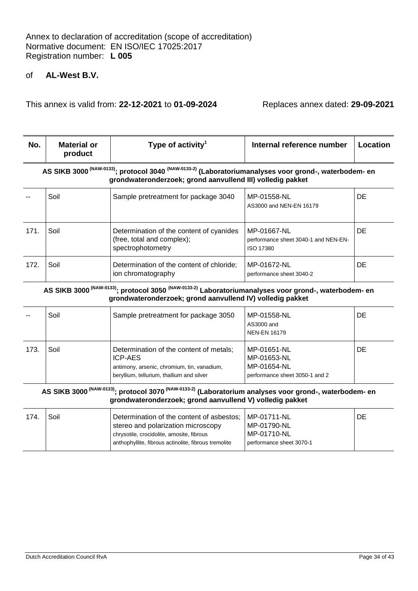This annex is valid from: **22-12-2021** to **01-09-2024** Replaces annex dated: **29-09-2021**

| No.  | <b>Material or</b><br>product                                                                                                                                                              | Type of activity <sup>1</sup>                                                               | Internal reference number                                        | Location  |  |
|------|--------------------------------------------------------------------------------------------------------------------------------------------------------------------------------------------|---------------------------------------------------------------------------------------------|------------------------------------------------------------------|-----------|--|
|      | AS SIKB 3000 <sup>(NAW-0133)</sup> ; protocol 3040 <sup>(NAW-0133-2)</sup> (Laboratoriumanalyses voor grond-, waterbodem- en<br>grondwateronderzoek; grond aanvullend III) volledig pakket |                                                                                             |                                                                  |           |  |
|      | Soil                                                                                                                                                                                       | Sample pretreatment for package 3040                                                        | MP-01558-NL<br>AS3000 and NEN-EN 16179                           | DE.       |  |
| 171. | Soil                                                                                                                                                                                       | Determination of the content of cyanides<br>(free, total and complex);<br>spectrophotometry | MP-01667-NL<br>performance sheet 3040-1 and NEN-EN-<br>ISO 17380 | DE.       |  |
| 172. | Soil                                                                                                                                                                                       | Determination of the content of chloride;<br>ion chromatography                             | MP-01672-NL<br>performance sheet 3040-2                          | <b>DE</b> |  |
|      | AS SIKB 3000 <sup>(NAW-0133)</sup> ; protocol 3050 <sup>(NAW-0133-2)</sup> Laboratoriumanalyses voor grond-, waterbodem- en                                                                |                                                                                             |                                                                  |           |  |

**grondwateronderzoek; grond aanvullend IV) volledig pakket**

|      | Soil | Sample pretreatment for package 3050                                                                                                                  | MP-01558-NL<br>AS3000 and<br><b>NEN-EN 16179</b>                            | DE |
|------|------|-------------------------------------------------------------------------------------------------------------------------------------------------------|-----------------------------------------------------------------------------|----|
| 173. | Soil | Determination of the content of metals;<br><b>ICP-AES</b><br>antimony, arsenic, chromium, tin, vanadium,<br>beryllium, tellurium, thallium and silver | MP-01651-NL<br>MP-01653-NL<br>MP-01654-NL<br>performance sheet 3050-1 and 2 | DE |

## **AS SIKB 3000 (NAW-0133); protocol 3070 (NAW-0133-2) (Laboratorium analyses voor grond-, waterbodem- en grondwateronderzoek; grond aanvullend V) volledig pakket**

| 174. | Soil | Determination of the content of asbestos;<br>stereo and polarization microscopy<br>chrysotile, crocidolite, amosite, fibrous<br>anthophyllite, fibrous actinolite, fibrous tremolite | l MP-01711-NL<br>MP-01790-NL<br>MP-01710-NL<br>performance sheet 3070-1 | DE |
|------|------|--------------------------------------------------------------------------------------------------------------------------------------------------------------------------------------|-------------------------------------------------------------------------|----|
|      |      |                                                                                                                                                                                      |                                                                         |    |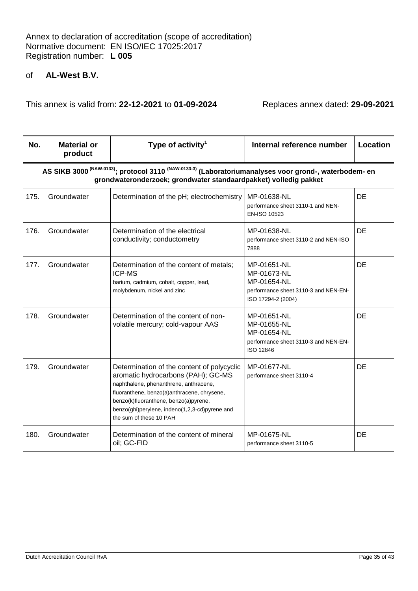| No.  | <b>Material or</b><br>product                                                                                                                                                                    | Type of activity <sup>1</sup>                                                                                                                                                                                                                                                                   | Internal reference number                                                                               | Location |  |  |
|------|--------------------------------------------------------------------------------------------------------------------------------------------------------------------------------------------------|-------------------------------------------------------------------------------------------------------------------------------------------------------------------------------------------------------------------------------------------------------------------------------------------------|---------------------------------------------------------------------------------------------------------|----------|--|--|
|      | AS SIKB 3000 <sup>(NAW-0133)</sup> ; protocol 3110 <sup>(NAW-0133-3)</sup> (Laboratoriumanalyses voor grond-, waterbodem- en<br>grondwateronderzoek; grondwater standaardpakket) volledig pakket |                                                                                                                                                                                                                                                                                                 |                                                                                                         |          |  |  |
| 175. | Groundwater                                                                                                                                                                                      | Determination of the pH; electrochemistry                                                                                                                                                                                                                                                       | MP-01638-NL<br>performance sheet 3110-1 and NEN-<br>EN-ISO 10523                                        | DE       |  |  |
| 176. | Groundwater                                                                                                                                                                                      | Determination of the electrical<br>conductivity; conductometry                                                                                                                                                                                                                                  | MP-01638-NL<br>performance sheet 3110-2 and NEN-ISO<br>7888                                             | DE       |  |  |
| 177. | Groundwater                                                                                                                                                                                      | Determination of the content of metals;<br><b>ICP-MS</b><br>barium, cadmium, cobalt, copper, lead,<br>molybdenum, nickel and zinc                                                                                                                                                               | MP-01651-NL<br>MP-01673-NL<br>MP-01654-NL<br>performance sheet 3110-3 and NEN-EN-<br>ISO 17294-2 (2004) | DE       |  |  |
| 178. | Groundwater                                                                                                                                                                                      | Determination of the content of non-<br>volatile mercury; cold-vapour AAS                                                                                                                                                                                                                       | MP-01651-NL<br>MP-01655-NL<br>MP-01654-NL<br>performance sheet 3110-3 and NEN-EN-<br>ISO 12846          | DE       |  |  |
| 179. | Groundwater                                                                                                                                                                                      | Determination of the content of polycyclic<br>aromatic hydrocarbons (PAH); GC-MS<br>naphthalene, phenanthrene, anthracene,<br>fluoranthene, benzo(a)anthracene, chrysene,<br>benzo(k)fluoranthene, benzo(a)pyrene,<br>benzo(ghi)perylene, indeno(1,2,3-cd)pyrene and<br>the sum of these 10 PAH | MP-01677-NL<br>performance sheet 3110-4                                                                 | DE       |  |  |
| 180. | Groundwater                                                                                                                                                                                      | Determination of the content of mineral<br>oil; GC-FID                                                                                                                                                                                                                                          | MP-01675-NL<br>performance sheet 3110-5                                                                 | DE       |  |  |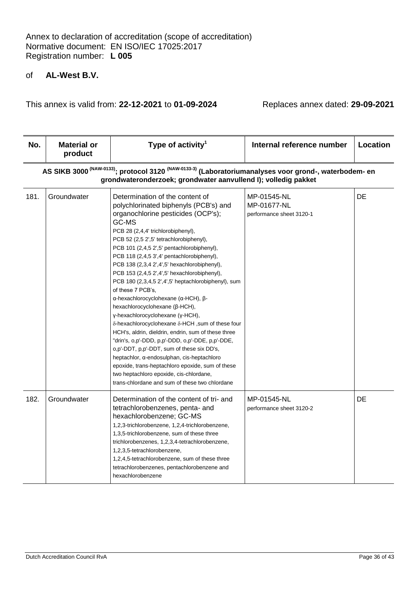| No.  | <b>Material or</b><br>product                                                                                                                                                                  | Type of activity <sup>1</sup>                                                                                                                                                                                                                                                                                                                                                                                                                                                                                                                                                                                                                                                                                                                                                                                                                                                                                                                                                                             | Internal reference number                              | Location |
|------|------------------------------------------------------------------------------------------------------------------------------------------------------------------------------------------------|-----------------------------------------------------------------------------------------------------------------------------------------------------------------------------------------------------------------------------------------------------------------------------------------------------------------------------------------------------------------------------------------------------------------------------------------------------------------------------------------------------------------------------------------------------------------------------------------------------------------------------------------------------------------------------------------------------------------------------------------------------------------------------------------------------------------------------------------------------------------------------------------------------------------------------------------------------------------------------------------------------------|--------------------------------------------------------|----------|
|      | AS SIKB 3000 <sup>(NAW-0133)</sup> ; protocol 3120 <sup>(NAW-0133-3)</sup> (Laboratoriumanalyses voor grond-, waterbodem- en<br>grondwateronderzoek; grondwater aanvullend I); volledig pakket |                                                                                                                                                                                                                                                                                                                                                                                                                                                                                                                                                                                                                                                                                                                                                                                                                                                                                                                                                                                                           |                                                        |          |
| 181. | Groundwater                                                                                                                                                                                    | Determination of the content of<br>polychlorinated biphenyls (PCB's) and<br>organochlorine pesticides (OCP's);<br>GC-MS<br>PCB 28 (2,4,4' trichlorobiphenyl),<br>PCB 52 (2,5 2',5' tetrachlorobiphenyl),<br>PCB 101 (2,4,5 2',5' pentachlorobiphenyl),<br>PCB 118 (2,4,5 3',4' pentachlorobiphenyl),<br>PCB 138 (2,3,4 2',4',5' hexachlorobiphenyl),<br>PCB 153 (2,4,5 2',4',5' hexachlorobiphenyl),<br>PCB 180 (2,3,4,5 2',4',5' heptachlorobiphenyl), sum<br>of these 7 PCB's,<br>α-hexachlorocyclohexane (α-HCH), β-<br>hexachlorocyclohexane (β-HCH),<br>γ-hexachlorocyclohexane (γ-HCH),<br>δ-hexachlorocyclohexane δ-HCH, sum of these four<br>HCH's, aldrin, dieldrin, endrin, sum of these three<br>"drin's, o,p'-DDD, p,p'-DDD, o,p'-DDE, p,p'-DDE,<br>o,p'-DDT, p,p'-DDT, sum of these six DD's,<br>heptachlor, a-endosulphan, cis-heptachloro<br>epoxide, trans-heptachloro epoxide, sum of these<br>two heptachloro epoxide, cis-chlordane,<br>trans-chlordane and sum of these two chlordane | MP-01545-NL<br>MP-01677-NL<br>performance sheet 3120-1 | DE       |
| 182. | Groundwater                                                                                                                                                                                    | Determination of the content of tri- and<br>tetrachlorobenzenes, penta- and<br>hexachlorobenzene; GC-MS<br>1,2,3-trichlorobenzene, 1,2,4-trichlorobenzene,<br>1,3,5-trichlorobenzene, sum of these three<br>trichlorobenzenes, 1,2,3,4-tetrachlorobenzene,<br>1,2,3,5-tetrachlorobenzene,<br>1,2,4,5-tetrachlorobenzene, sum of these three<br>tetrachlorobenzenes, pentachlorobenzene and<br>hexachlorobenzene                                                                                                                                                                                                                                                                                                                                                                                                                                                                                                                                                                                           | MP-01545-NL<br>performance sheet 3120-2                | DE       |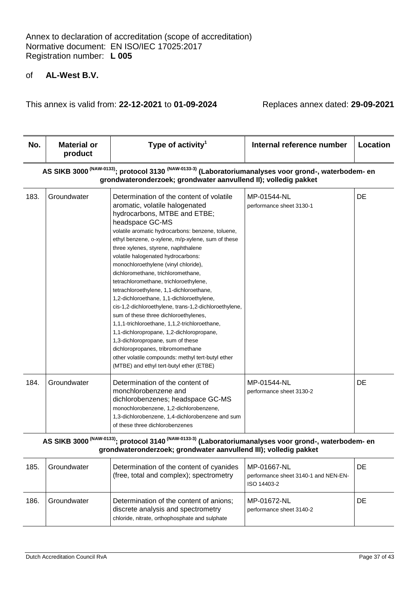This annex is valid from: **22-12-2021** to **01-09-2024** Replaces annex dated: **29-09-2021**

| No.  | <b>Material or</b><br>product                                                                                                                                                                   | Type of activity <sup>1</sup>                                                                                                                                                                                                                                                                                                                                                                                                                                                                                                                                                                                                                                                                                                                                                                                                                                                                                    | Internal reference number               | Location |
|------|-------------------------------------------------------------------------------------------------------------------------------------------------------------------------------------------------|------------------------------------------------------------------------------------------------------------------------------------------------------------------------------------------------------------------------------------------------------------------------------------------------------------------------------------------------------------------------------------------------------------------------------------------------------------------------------------------------------------------------------------------------------------------------------------------------------------------------------------------------------------------------------------------------------------------------------------------------------------------------------------------------------------------------------------------------------------------------------------------------------------------|-----------------------------------------|----------|
|      | AS SIKB 3000 <sup>(NAW-0133)</sup> ; protocol 3130 <sup>(NAW-0133-3)</sup> (Laboratoriumanalyses voor grond-, waterbodem- en<br>grondwateronderzoek; grondwater aanvullend II); volledig pakket |                                                                                                                                                                                                                                                                                                                                                                                                                                                                                                                                                                                                                                                                                                                                                                                                                                                                                                                  |                                         |          |
| 183. | Groundwater                                                                                                                                                                                     | Determination of the content of volatile<br>aromatic, volatile halogenated<br>hydrocarbons, MTBE and ETBE;<br>headspace GC-MS<br>volatile aromatic hydrocarbons: benzene, toluene,<br>ethyl benzene, o-xylene, m/p-xylene, sum of these<br>three xylenes, styrene, naphthalene<br>volatile halogenated hydrocarbons:<br>monochloroethylene (vinyl chloride),<br>dichloromethane, trichloromethane,<br>tetrachloromethane, trichloroethylene,<br>tetrachloroethylene, 1,1-dichloroethane,<br>1,2-dichloroethane, 1,1-dichloroethylene,<br>cis-1,2-dichloroethylene, trans-1,2-dichloroethylene,<br>sum of these three dichloroethylenes,<br>1,1,1-trichloroethane, 1,1,2-trichloroethane,<br>1,1-dichloropropane, 1,2-dichloropropane,<br>1,3-dichloropropane, sum of these<br>dichloropropanes, tribromomethane<br>other volatile compounds: methyl tert-butyl ether<br>(MTBE) and ethyl tert-butyl ether (ETBE) | MP-01544-NL<br>performance sheet 3130-1 | DE       |
| 184. | Groundwater                                                                                                                                                                                     | Determination of the content of<br>monchlorobenzene and<br>dichlorobenzenes; headspace GC-MS<br>monochlorobenzene, 1,2-dichlorobenzene,<br>1,3-dichlorobenzene, 1,4-dichlorobenzene and sum<br>of these three dichlorobenzenes                                                                                                                                                                                                                                                                                                                                                                                                                                                                                                                                                                                                                                                                                   | MP-01544-NL<br>performance sheet 3130-2 | DE       |

**AS SIKB 3000 (NAW-0133); protocol 3140 (NAW-0133-3) (Laboratoriumanalyses voor grond-, waterbodem- en grondwateronderzoek; grondwater aanvullend III); volledig pakket**

| 185. | Groundwater | Determination of the content of cyanides<br>(free, total and complex); spectrometry                                             | MP-01667-NL<br>performance sheet 3140-1 and NEN-EN-<br>ISO 14403-2 | DE |
|------|-------------|---------------------------------------------------------------------------------------------------------------------------------|--------------------------------------------------------------------|----|
| 186. | Groundwater | Determination of the content of anions;<br>discrete analysis and spectrometry<br>chloride, nitrate, orthophosphate and sulphate | MP-01672-NL<br>performance sheet 3140-2                            | DE |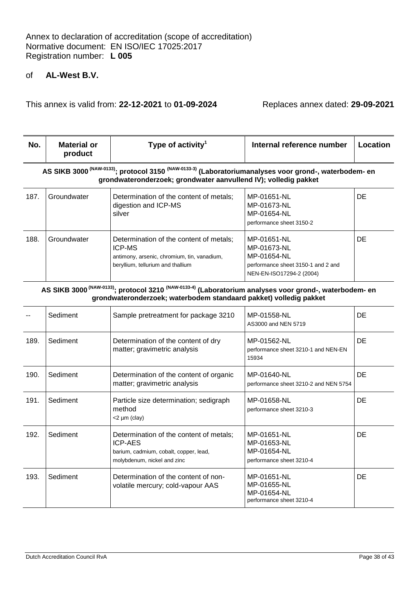This annex is valid from: **22-12-2021** to **01-09-2024** Replaces annex dated: **29-09-2021**

| No.  | Material or<br>product                                                                                                                                                                          | Type of activity <sup>1</sup>                                                                                                         | Internal reference number                                                                                   | Location  |  |
|------|-------------------------------------------------------------------------------------------------------------------------------------------------------------------------------------------------|---------------------------------------------------------------------------------------------------------------------------------------|-------------------------------------------------------------------------------------------------------------|-----------|--|
|      | AS SIKB 3000 <sup>(NAW-0133)</sup> ; protocol 3150 <sup>(NAW-0133-3)</sup> (Laboratoriumanalyses voor grond-, waterbodem- en<br>grondwateronderzoek; grondwater aanvullend IV); volledig pakket |                                                                                                                                       |                                                                                                             |           |  |
| 187. | Groundwater                                                                                                                                                                                     | Determination of the content of metals;<br>digestion and ICP-MS<br>silver                                                             | MP-01651-NL<br>MP-01673-NL<br>MP-01654-NL<br>performance sheet 3150-2                                       | DE.       |  |
| 188. | Groundwater                                                                                                                                                                                     | Determination of the content of metals;<br>ICP-MS<br>antimony, arsenic, chromium, tin, vanadium,<br>beryllium, tellurium and thallium | MP-01651-NL<br>MP-01673-NL<br>MP-01654-NL<br>performance sheet 3150-1 and 2 and<br>NEN-EN-ISO17294-2 (2004) | <b>DE</b> |  |
|      | (1111110101)                                                                                                                                                                                    | $\left( \text{AIA} \right)$ and $\left( \text{AIA} \right)$                                                                           |                                                                                                             |           |  |

**AS SIKB 3000 (NAW-0133); protocol 3210 (NAW-0133-4) (Laboratorium analyses voor grond-, waterbodem- en grondwateronderzoek; waterbodem standaard pakket) volledig pakket**

|      | Sediment | Sample pretreatment for package 3210                                                                                               | MP-01558-NL<br>AS3000 and NEN 5719                                    | DE  |
|------|----------|------------------------------------------------------------------------------------------------------------------------------------|-----------------------------------------------------------------------|-----|
| 189. | Sediment | Determination of the content of dry<br>matter; gravimetric analysis                                                                | MP-01562-NL<br>performance sheet 3210-1 and NEN-EN<br>15934           | DE  |
| 190. | Sediment | Determination of the content of organic<br>matter; gravimetric analysis                                                            | MP-01640-NL<br>performance sheet 3210-2 and NEN 5754                  | DE  |
| 191. | Sediment | Particle size determination; sedigraph<br>method<br>$<$ 2 µm (clay)                                                                | MP-01658-NL<br>performance sheet 3210-3                               | DE  |
| 192. | Sediment | Determination of the content of metals;<br><b>ICP-AES</b><br>barium, cadmium, cobalt, copper, lead,<br>molybdenum, nickel and zinc | MP-01651-NL<br>MP-01653-NL<br>MP-01654-NL<br>performance sheet 3210-4 | DE. |
| 193. | Sediment | Determination of the content of non-<br>volatile mercury; cold-vapour AAS                                                          | MP-01651-NL<br>MP-01655-NL<br>MP-01654-NL<br>performance sheet 3210-4 | DE  |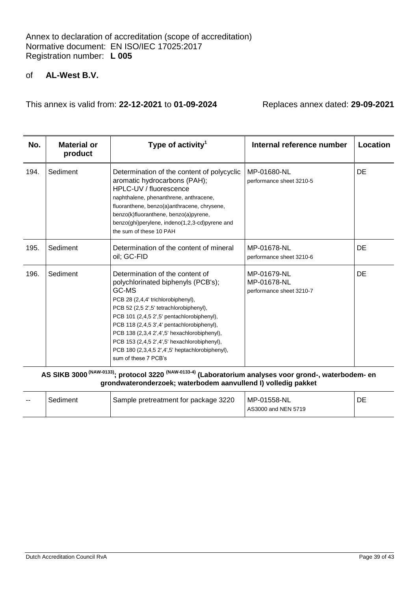## of **AL-West B.V.**

This annex is valid from: **22-12-2021** to **01-09-2024** Replaces annex dated: **29-09-2021**

| No.  | <b>Material or</b><br>product | Type of activity <sup>1</sup>                                                                                                                                                                                                                                                                                                                                                                                                          | Internal reference number                              | Location |
|------|-------------------------------|----------------------------------------------------------------------------------------------------------------------------------------------------------------------------------------------------------------------------------------------------------------------------------------------------------------------------------------------------------------------------------------------------------------------------------------|--------------------------------------------------------|----------|
| 194. | Sediment                      | Determination of the content of polycyclic<br>aromatic hydrocarbons (PAH);<br>HPLC-UV / fluorescence<br>naphthalene, phenanthrene, anthracene,<br>fluoranthene, benzo(a)anthracene, chrysene,<br>benzo(k)fluoranthene, benzo(a)pyrene,<br>benzo(ghi)perylene, indeno(1,2,3-cd)pyrene and<br>the sum of these 10 PAH                                                                                                                    | MP-01680-NL<br>performance sheet 3210-5                | DE       |
| 195. | Sediment                      | Determination of the content of mineral<br>oil; GC-FID                                                                                                                                                                                                                                                                                                                                                                                 | MP-01678-NL<br>performance sheet 3210-6                | DE       |
| 196. | Sediment                      | Determination of the content of<br>polychlorinated biphenyls (PCB's);<br>GC-MS<br>PCB 28 (2,4,4' trichlorobiphenyl),<br>PCB 52 (2,5 2',5' tetrachlorobiphenyl),<br>PCB 101 (2,4,5 2',5' pentachlorobiphenyl),<br>PCB 118 (2,4,5 3',4' pentachlorobiphenyl),<br>PCB 138 (2,3,4 2',4',5' hexachlorobiphenyl),<br>PCB 153 (2,4,5 2',4',5' hexachlorobiphenyl),<br>PCB 180 (2,3,4,5 2',4',5' heptachlorobiphenyl),<br>sum of these 7 PCB's | MP-01679-NL<br>MP-01678-NL<br>performance sheet 3210-7 | DE       |

**AS SIKB 3000 (NAW-0133); protocol 3220 (NAW-0133-4) (Laboratorium analyses voor grond-, waterbodem- en grondwateronderzoek; waterbodem aanvullend I) volledig pakket**

| $- -$ | Sediment | Sample pretreatment for package 3220 | MP-01558-NL<br>AS3000 and NEN 5719 | DE |
|-------|----------|--------------------------------------|------------------------------------|----|
|-------|----------|--------------------------------------|------------------------------------|----|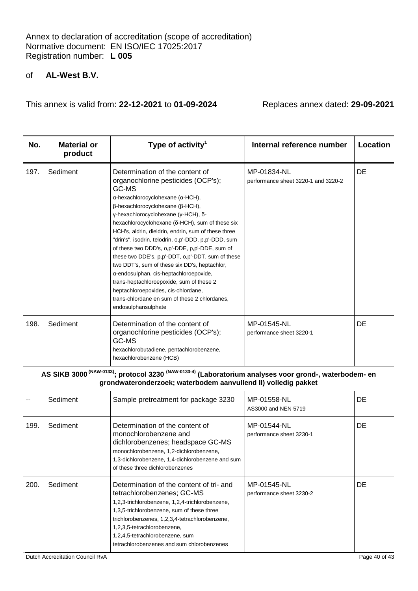## of **AL-West B.V.**

This annex is valid from: **22-12-2021** to **01-09-2024** Replaces annex dated: **29-09-2021**

| No.  | <b>Material or</b><br>product | Type of activity <sup>1</sup>                                                                                                                                                                                                                                                                                                                                                                                                                                                                                                                                                                                                                                                                                                                                | Internal reference number                          | Location |
|------|-------------------------------|--------------------------------------------------------------------------------------------------------------------------------------------------------------------------------------------------------------------------------------------------------------------------------------------------------------------------------------------------------------------------------------------------------------------------------------------------------------------------------------------------------------------------------------------------------------------------------------------------------------------------------------------------------------------------------------------------------------------------------------------------------------|----------------------------------------------------|----------|
| 197. | Sediment                      | Determination of the content of<br>organochlorine pesticides (OCP's);<br>GC-MS<br>$\alpha$ -hexachlorocyclohexane ( $\alpha$ -HCH),<br>$\beta$ -hexachlorocyclohexane ( $\beta$ -HCH),<br>γ-hexachlorocyclohexane (γ-HCH), δ-<br>hexachlorocyclohexane (δ-HCH), sum of these six<br>HCH's, aldrin, dieldrin, endrin, sum of these three<br>"drin's", isodrin, telodrin, o,p'-DDD, p,p'-DDD, sum<br>of these two DDD's, o,p'-DDE, p,p'-DDE, sum of<br>these two DDE's, p,p'-DDT, o,p'-DDT, sum of these<br>two DDT's, sum of these six DD's, heptachlor,<br>α-endosulphan, cis-heptachloroepoxide,<br>trans-heptachloroepoxide, sum of these 2<br>heptachloroepoxides, cis-chlordane,<br>trans-chlordane en sum of these 2 chlordanes.<br>endosulphansulphate | MP-01834-NL<br>performance sheet 3220-1 and 3220-2 | DE       |
| 198. | Sediment                      | Determination of the content of<br>organochlorine pesticides (OCP's);<br>GC-MS<br>hexachlorobutadiene, pentachlorobenzene,<br>hexachlorobenzene (HCB)                                                                                                                                                                                                                                                                                                                                                                                                                                                                                                                                                                                                        | MP-01545-NL<br>performance sheet 3220-1            | DE       |

# **AS SIKB 3000 (NAW-0133); protocol 3230 (NAW-0133-4) (Laboratorium analyses voor grond-, waterbodem- en grondwateronderzoek; waterbodem aanvullend II) volledig pakket**

|      | Sediment | Sample pretreatment for package 3230                                                                                                                                                                                                                                                                                                      | MP-01558-NL<br>AS3000 and NEN 5719      | DE.       |
|------|----------|-------------------------------------------------------------------------------------------------------------------------------------------------------------------------------------------------------------------------------------------------------------------------------------------------------------------------------------------|-----------------------------------------|-----------|
| 199. | Sediment | Determination of the content of<br>monochlorobenzene and<br>dichlorobenzenes; headspace GC-MS<br>monochlorobenzene, 1,2-dichlorobenzene,<br>1,3-dichlorobenzene, 1,4-dichlorobenzene and sum<br>of these three dichlorobenzenes                                                                                                           | MP-01544-NL<br>performance sheet 3230-1 | <b>DE</b> |
| 200. | Sediment | Determination of the content of tri- and<br>tetrachlorobenzenes; GC-MS<br>1,2,3-trichlorobenzene, 1,2,4-trichlorobenzene,<br>1,3,5-trichlorobenzene, sum of these three<br>trichlorobenzenes, 1,2,3,4-tetrachlorobenzene,<br>1,2,3,5-tetrachlorobenzene,<br>1,2,4,5-tetrachlorobenzene, sum<br>tetrachlorobenzenes and sum chlorobenzenes | MP-01545-NL<br>performance sheet 3230-2 | DE.       |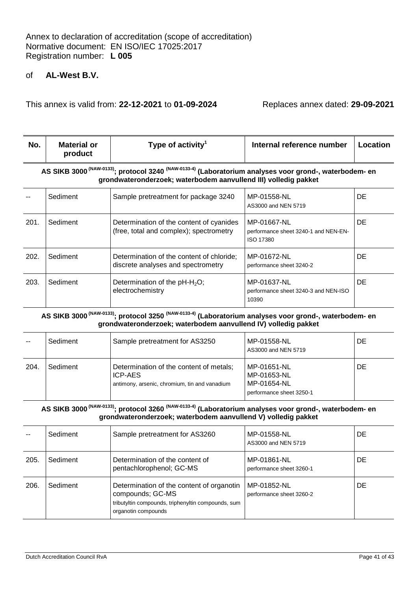This annex is valid from: **22-12-2021** to **01-09-2024** Replaces annex dated: **29-09-2021**

| No.                                                                                                                                                                                              | <b>Material or</b><br>product | Type of activity <sup>1</sup>                                                       | Internal reference number                                        | Location  |  |
|--------------------------------------------------------------------------------------------------------------------------------------------------------------------------------------------------|-------------------------------|-------------------------------------------------------------------------------------|------------------------------------------------------------------|-----------|--|
| AS SIKB 3000 <sup>(NAW-0133</sup> ); protocol 3240 <sup>(NAW-0133-4)</sup> (Laboratorium analyses voor grond-, waterbodem- en<br>grondwateronderzoek; waterbodem aanvullend III) volledig pakket |                               |                                                                                     |                                                                  |           |  |
|                                                                                                                                                                                                  | Sediment                      | Sample pretreatment for package 3240                                                | MP-01558-NL<br>AS3000 and NEN 5719                               | DE.       |  |
| 201.                                                                                                                                                                                             | Sediment                      | Determination of the content of cyanides<br>(free, total and complex); spectrometry | MP-01667-NL<br>performance sheet 3240-1 and NEN-EN-<br>ISO 17380 | <b>DE</b> |  |
| 202.                                                                                                                                                                                             | Sediment                      | Determination of the content of chloride;<br>discrete analyses and spectrometry     | MP-01672-NL<br>performance sheet 3240-2                          | DE.       |  |
| 203.                                                                                                                                                                                             | Sediment                      | Determination of the $pH - H2O$ ;<br>electrochemistry                               | MP-01637-NL<br>performance sheet 3240-3 and NEN-ISO<br>10390     | DE.       |  |

#### **AS SIKB 3000 (NAW-0133); protocol 3250 (NAW-0133-4) (Laboratorium analyses voor grond-, waterbodem- en grondwateronderzoek; waterbodem aanvullend IV) volledig pakket**

|     | Sediment | Sample pretreatment for AS3250                                                                      | MP-01558-NL<br>AS3000 and NEN 5719                                    | DE |
|-----|----------|-----------------------------------------------------------------------------------------------------|-----------------------------------------------------------------------|----|
| 204 | Sediment | Determination of the content of metals;<br>ICP-AES<br>antimony, arsenic, chromium, tin and vanadium | MP-01651-NL<br>MP-01653-NL<br>MP-01654-NL<br>performance sheet 3250-1 | DE |

#### **AS SIKB 3000 (NAW-0133); protocol 3260 (NAW-0133-4) (Laboratorium analyses voor grond-, waterbodem- en grondwateronderzoek; waterbodem aanvullend V) volledig pakket**

|      | Sediment | Sample pretreatment for AS3260                                                                                                             | MP-01558-NL<br>AS3000 and NEN 5719      | DE |
|------|----------|--------------------------------------------------------------------------------------------------------------------------------------------|-----------------------------------------|----|
| 205. | Sediment | Determination of the content of<br>pentachlorophenol; GC-MS                                                                                | MP-01861-NL<br>performance sheet 3260-1 | DE |
| 206. | Sediment | Determination of the content of organotin<br>compounds; GC-MS<br>tributyltin compounds, triphenyltin compounds, sum<br>organotin compounds | MP-01852-NL<br>performance sheet 3260-2 | DE |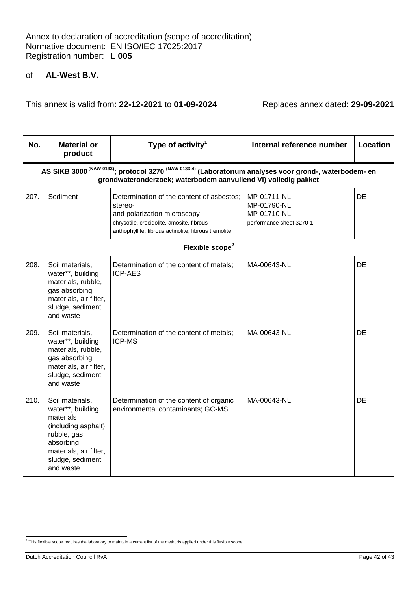| No.  | <b>Material or</b><br>product                                                                                                                                                                   | Type of activity <sup>1</sup>                                                                                                                                                            | Internal reference number                                             | Location |  |
|------|-------------------------------------------------------------------------------------------------------------------------------------------------------------------------------------------------|------------------------------------------------------------------------------------------------------------------------------------------------------------------------------------------|-----------------------------------------------------------------------|----------|--|
|      | AS SIKB 3000 <sup>(NAW-0133)</sup> ; protocol 3270 <sup>(NAW-0133-4)</sup> (Laboratorium analyses voor grond-, waterbodem- en<br>grondwateronderzoek; waterbodem aanvullend VI) volledig pakket |                                                                                                                                                                                          |                                                                       |          |  |
| 207. | Sediment                                                                                                                                                                                        | Determination of the content of asbestos;<br>stereo-<br>and polarization microscopy<br>chrysotile, crocidolite, amosite, fibrous<br>anthophyllite, fibrous actinolite, fibrous tremolite | MP-01711-NL<br>MP-01790-NL<br>MP-01710-NL<br>performance sheet 3270-1 | DE       |  |
|      |                                                                                                                                                                                                 | Flexible scope <sup>2</sup>                                                                                                                                                              |                                                                       |          |  |
| 208. | Soil materials,<br>water**, building<br>materials, rubble,<br>gas absorbing<br>materials, air filter,<br>sludge, sediment<br>and waste                                                          | Determination of the content of metals;<br><b>ICP-AES</b>                                                                                                                                | MA-00643-NL                                                           | DE       |  |
| 209. | Soil materials,<br>water**, building<br>materials, rubble,<br>gas absorbing<br>materials, air filter,<br>sludge, sediment<br>and waste                                                          | Determination of the content of metals;<br>ICP-MS                                                                                                                                        | MA-00643-NL                                                           | DE       |  |
| 210. | Soil materials,<br>water**, building<br>materials<br>(including asphalt),<br>rubble, gas<br>absorbing<br>materials, air filter,<br>sludge, sediment<br>and waste                                | Determination of the content of organic<br>environmental contaminants; GC-MS                                                                                                             | MA-00643-NL                                                           | DE       |  |

 2 This flexible scope requires the laboratory to maintain a current list of the methods applied under this flexible scope.